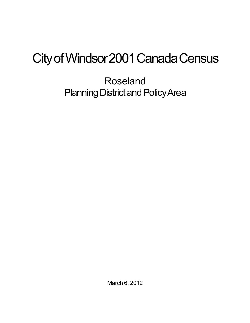## City of Windsor 2001 Canada Census

Roseland Planning District and Policy Area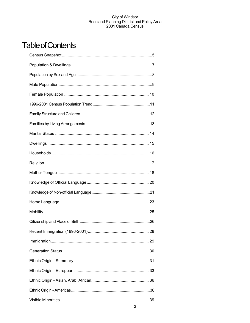## **Table of Contents**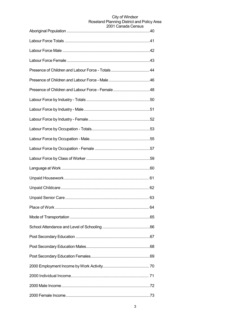| <b>LUUT VAHAYA VUHJUJ</b> |
|---------------------------|
|                           |
|                           |
|                           |
|                           |
|                           |
|                           |
|                           |
|                           |
|                           |
|                           |
|                           |
|                           |
|                           |
|                           |
|                           |
|                           |
|                           |
|                           |
|                           |
|                           |
|                           |
|                           |
|                           |
|                           |
|                           |
|                           |
|                           |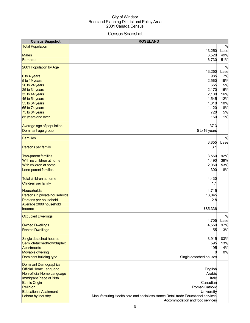## Census Snapshot

| <b>Census Snapshot</b>                                 | <b>ROSELAND</b>                                                                                                      |               |
|--------------------------------------------------------|----------------------------------------------------------------------------------------------------------------------|---------------|
| <b>Total Population</b>                                |                                                                                                                      | %             |
|                                                        | 13,250                                                                                                               | base          |
| <b>Males</b>                                           | 6,520                                                                                                                | 49%           |
| <b>Females</b>                                         | 6,730                                                                                                                | 51%           |
| 2001 Population by Age                                 |                                                                                                                      | $\frac{0}{0}$ |
|                                                        | 13,250                                                                                                               | base          |
| 0 to 4 years                                           | 985                                                                                                                  | 7%            |
| 5 to 19 years                                          | 2,560                                                                                                                | 19%           |
| 20 to 24 years                                         | 655                                                                                                                  | 5%            |
| 25 to 34 years                                         | 2,170                                                                                                                | 16%           |
| 35 to 44 years                                         | 2,100                                                                                                                | 16%           |
| 45 to 54 years                                         | 1,545                                                                                                                | 12%<br>10%    |
| 55 to 64 years<br>65 to 74 years                       | 1,310<br>1,120                                                                                                       | 8%            |
| 75 to 84 years                                         | 720                                                                                                                  | 5%            |
| 85 years and over                                      | 160                                                                                                                  | 1%            |
|                                                        |                                                                                                                      |               |
| Average age of population                              | 37.3                                                                                                                 |               |
| Dominant age group                                     | 5 to 19 years                                                                                                        |               |
| Families                                               |                                                                                                                      | $\%$          |
|                                                        | 3,855                                                                                                                | base          |
| Persons per family                                     | 3.1                                                                                                                  |               |
|                                                        |                                                                                                                      |               |
| <b>Two-parent families</b><br>With no children at home | 3,560<br>1,490                                                                                                       | 92%<br>39%    |
| <b>With children at home</b>                           | 2,060                                                                                                                | 53%           |
| Lone-parent families                                   | 300                                                                                                                  | 8%            |
|                                                        |                                                                                                                      |               |
| Total children at home                                 | 4,430                                                                                                                |               |
| Children per family                                    | 1.1                                                                                                                  |               |
| <b>Households</b>                                      | 4,715                                                                                                                |               |
| Persons in private households                          | 13,045                                                                                                               |               |
| Persons per household                                  | 2.8                                                                                                                  |               |
| Average 2000 household                                 |                                                                                                                      |               |
| income                                                 | \$85,336                                                                                                             |               |
| <b>Occupied Dwellings</b>                              |                                                                                                                      | $\frac{0}{0}$ |
|                                                        | 4,705                                                                                                                | base          |
| <b>Owned Dwellings</b>                                 | 4,550                                                                                                                | 97%           |
| <b>Rented Dwellings</b>                                | 155                                                                                                                  | 3%            |
| Single detached houses                                 | 3,915                                                                                                                | 83%           |
| Semi-detached/row/duplex                               | 595                                                                                                                  | 13%           |
| <b>Apartments</b>                                      | 195                                                                                                                  | 4%            |
| <b>Movable dwelling</b>                                |                                                                                                                      | 0%            |
| Dominant building type                                 | Single detached houses                                                                                               |               |
| <b>Dominant Demographics</b>                           |                                                                                                                      |               |
| <b>Official Home Language</b>                          | English                                                                                                              |               |
| Non-official Home Language                             | Arabic                                                                                                               |               |
| Immigrant Place of Birth                               | Italy                                                                                                                |               |
| <b>Ethnic Origin</b>                                   | Canadian                                                                                                             |               |
| Religion                                               | Roman Catholic                                                                                                       |               |
| <b>Educational Attainment</b>                          | University                                                                                                           |               |
| Labour by Industry                                     | Manufacturing Health care and social assistance Retail trade Educational services<br>Accommodation and food services |               |
|                                                        |                                                                                                                      |               |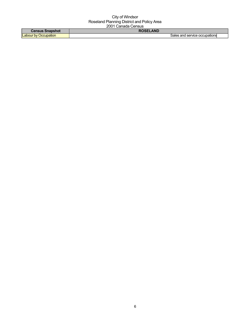| `anelle<br>Snapshot | <b>AND</b>               |
|---------------------|--------------------------|
| Labour by           | and service occupations. |
| Occupation          | sales                    |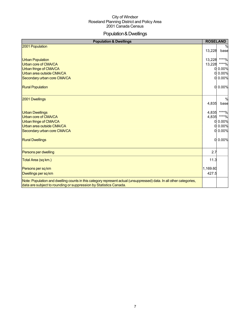## Population&Dwellings

| <b>Population &amp; Dwellings</b>                                                                                                                                                         | <b>ROSELAND</b> |               |
|-------------------------------------------------------------------------------------------------------------------------------------------------------------------------------------------|-----------------|---------------|
| 2001 Population                                                                                                                                                                           |                 |               |
|                                                                                                                                                                                           | 13,228          | base          |
| <b>Urban Population</b>                                                                                                                                                                   | 13,228          | ****%         |
| Urban core of CMA/CA                                                                                                                                                                      | 13,228          | $***0/0$      |
| Urban fringe of CMA/CA                                                                                                                                                                    | O               | 0.00%         |
| Urban area outside CMA/CA                                                                                                                                                                 | Ω               | 0.00%         |
| Secondary urban core CMA/CA                                                                                                                                                               | $\Omega$        | 0.00%         |
| <b>Rural Population</b>                                                                                                                                                                   | $\Omega$        | 0.00%         |
| 2001 Dwellings                                                                                                                                                                            |                 | $\frac{0}{6}$ |
|                                                                                                                                                                                           | 4,835           | base          |
| <b>Urban Dwellings</b>                                                                                                                                                                    | 4,835           | $***0/0$      |
| Urban core of CMA/CA                                                                                                                                                                      | 4,835           | ****%         |
| Urban fringe of CMA/CA                                                                                                                                                                    | 0               | 0.00%         |
| Urban area outside CMA/CA                                                                                                                                                                 | 0               | 0.00%         |
| Secondary urban core CMA/CA                                                                                                                                                               | $\Omega$        | 0.00%         |
| <b>Rural Dwellings</b>                                                                                                                                                                    | $\Omega$        | 0.00%         |
| Persons per dwelling                                                                                                                                                                      | 2.7             |               |
| Total Area (sq km.)                                                                                                                                                                       | 11.3            |               |
| Persons per sq km                                                                                                                                                                         | 1,169.60        |               |
| Dwellings per sq km                                                                                                                                                                       | 427.5           |               |
| Note: Population and dwelling counts in this category represent actual (unsuppressed) data. In all other categories,<br>data are subject to rounding or suppression by Statistics Canada. |                 |               |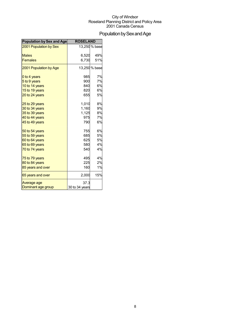## Population by Sex and Age

| <b>Population by Sex and Age</b> | <b>ROSELAND</b> |               |
|----------------------------------|-----------------|---------------|
| 2001 Population by Sex           |                 | 13,250 % base |
| <b>Males</b>                     | 6,520           | 49%           |
| <b>Females</b>                   | 6,730           | 51%           |
| 2001 Population by Age           |                 | 13,250 % base |
| 0 to 4 years                     | 985             | 7%            |
| 5 to 9 years                     | 900             | 7%            |
| 10 to 14 years                   | 840             | 6%            |
| 15 to 19 years                   | 820             | 6%            |
| 20 to 24 years                   | 655             | 5%            |
| 25 to 29 years                   | 1,010           | 8%            |
| 30 to 34 years                   | 1,160           | 9%            |
| 35 to 39 years                   | 1,125           | 8%            |
| 40 to 44 years                   | 975             | 7%            |
| 45 to 49 years                   | 790             | 6%            |
| 50 to 54 years                   | 755             | 6%            |
| 55 to 59 years                   | 685             | 5%            |
| 60 to 64 years                   | 625             | 5%            |
| 65 to 69 years                   | 580             | 4%            |
| 70 to 74 years                   | 540             | 4%            |
| 75 to 79 years                   | 495             | 4%            |
| 80 to 84 years                   | 225             | 2%            |
| 85 years and over                | 160             | 1%            |
| 65 years and over                | 2,000           | 15%           |
| Average age                      | 37.3            |               |
| Dominant age group               | 30 to 34 years  |               |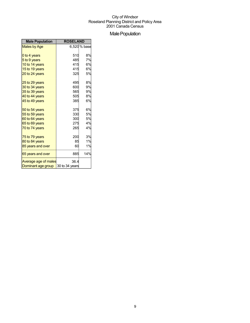## **Male Population**

| <b>Male Population</b> | <b>ROSELAND</b> |              |
|------------------------|-----------------|--------------|
| Males by Age           |                 | 6,520 % base |
| 0 to 4 years           | 510             | 8%           |
| 5 to 9 years           | 485             | 7%           |
| 10 to 14 years         | 415             | 6%           |
| 15 to 19 years         | 415             | 6%           |
| 20 to 24 years         | 325             | 5%           |
| 25 to 29 years         | 495             | 8%           |
| 30 to 34 years         | 600             | 9%           |
| 35 to 39 years         | 565             | 9%           |
| 40 to 44 years         | 505             | 8%           |
| 45 to 49 years         | 385             | 6%           |
| 50 to 54 years         | 375             | 6%           |
| 55 to 59 years         | 330             | 5%           |
| 60 to 64 years         | 300             | 5%           |
| 65 to 69 years         | 275             | 4%           |
| 70 to 74 years         | 265             | 4%           |
| 75 to 79 years         | 200             | 3%           |
| 80 to 84 years         | 85              | 1%           |
| 85 years and over      | 60              | 1%           |
| 65 years and over      | 885             | 14%          |
| Average age of males   | 36.4            |              |
| Dominant age group     | 30 to 34 years  |              |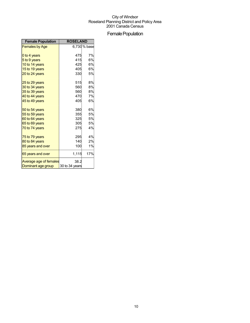## Female Population

| <b>Female Population</b> | <b>ROSELAND</b> |             |
|--------------------------|-----------------|-------------|
| <b>Females by Age</b>    |                 | 6,730% base |
|                          |                 |             |
| 0 to 4 years             | 475             | 7%          |
| 5 to 9 years             | 415             | 6%          |
| 10 to 14 years           | 425             | 6%          |
| 15 to 19 years           | 405             | 6%          |
| 20 to 24 years           | 330             | 5%          |
| 25 to 29 years           | 515             | 8%          |
| 30 to 34 years           | 560             | 8%          |
| 35 to 39 years           | 560             | 8%          |
| 40 to 44 years           | 470             | 7%          |
| 45 to 49 years           | 405             | 6%          |
| 50 to 54 years           | 380             | 6%          |
| 55 to 59 years           | 355             | 5%          |
| 60 to 64 years           | 325             | 5%          |
| 65 to 69 years           | 305             | 5%          |
| 70 to 74 years           | 275             | 4%          |
| 75 to 79 years           | 295             | 4%          |
| 80 to 84 years           | 140             | 2%          |
| 85 years and over        | 100             | 1%          |
| 65 years and over        | 1,115           | 17%         |
| Average age of females   | 38.2            |             |
| Dominant age group       | 30 to 34 years  |             |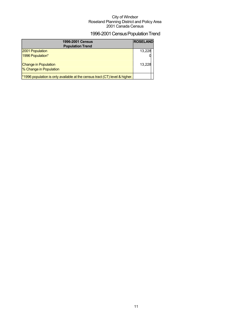## 1996-2001 Census Population Trend

| <b>1996-2001 Census</b><br><b>Population Trend</b>                                      | <b>ROSELAND</b> |
|-----------------------------------------------------------------------------------------|-----------------|
| 2001 Population                                                                         | 13,228          |
| 1996 Population*                                                                        |                 |
| <b>Change in Population</b>                                                             | 13,228          |
| % Change in Population                                                                  |                 |
| <sup>*</sup> 1996 population is only available at the census tract (CT) level & higher. |                 |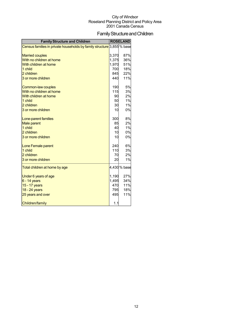## Family Structure and Children

| <b>Family Structure and Children</b>                                   |       | <b>ROSELAND</b> |
|------------------------------------------------------------------------|-------|-----------------|
| Census families in private households by family structure 3,855 % base |       |                 |
| <b>Married couples</b>                                                 | 3,370 | 87%             |
| With no children at home                                               | 1,375 | 36%             |
| With children at home                                                  | 1,970 | 51%             |
| 1 child                                                                | 700   | 18%             |
| 2 children                                                             | 845   | 22%             |
| 3 or more children                                                     | 440   | 11%             |
| Common-law couples                                                     | 190   | 5%              |
| With no children at home                                               | 115   | 3%              |
| With children at home                                                  | 90    | 2%              |
| 1 child                                                                | 50    | 1%              |
| 2 children                                                             | 30    | 1%              |
| 3 or more children                                                     | 10    | 0%              |
| Lone-parent families                                                   | 300   | 8%              |
| <b>Male parent</b>                                                     | 85    | 2%              |
| 1 child                                                                | 40    | 1%              |
| 2 children                                                             | 10    | 0%              |
| 3 or more children                                                     | 10    | 0%              |
| Lone Female parent                                                     | 240   | 6%              |
| 1 child                                                                | 110   | 3%              |
| 2 children                                                             | 70    | 2%              |
| 3 or more children                                                     | 20    | 1%              |
| Total children at home by age                                          |       | 4,430 % base    |
| Under 6 years of age                                                   | 1,190 | 27%             |
| $6 - 14$ years                                                         | 1,495 | 34%             |
| 15 - 17 years                                                          | 470   | 11%             |
| 18 - 24 years                                                          | 795   | 18%             |
| 25 years and over                                                      | 495   | 11%             |
| <b>Children/family</b>                                                 | 1.1   |                 |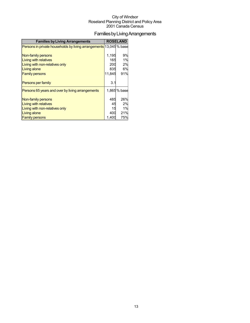## FamiliesbyLivingArrangements

| <b>Families by Living Arrangements</b>                             |        | <b>ROSELAND</b> |
|--------------------------------------------------------------------|--------|-----------------|
| Persons in private households by living arrangements 13,045 % base |        |                 |
|                                                                    |        |                 |
| Non-family persons                                                 | 1,195  | 9%              |
| <b>Living with relatives</b>                                       | 165    | 1%              |
| Living with non-relatives only                                     | 200    | 2%              |
| Living alone                                                       | 835    | 6%              |
| <b>Family persons</b>                                              | 11.845 | 91%             |
|                                                                    |        |                 |
| <b>Persons per family</b>                                          | 3.1    |                 |
| Persons 65 years and over by living arrangements                   |        | 1,865 % base    |
|                                                                    | 485    | 26%             |
| Non-family persons                                                 |        | 2%              |
| Living with relatives                                              | 45     |                 |
| Living with non-relatives only                                     | 15     | 1%              |
| <b>Living alone</b>                                                | 400    | 21%             |
| <b>Family persons</b>                                              | 1.400  | 75%             |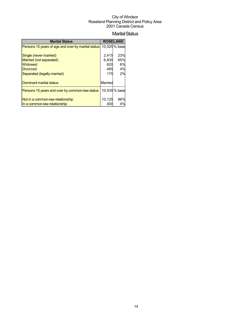#### **Marital Status**

| <b>Marital Status</b>                              |         | <b>ROSELAND</b> |
|----------------------------------------------------|---------|-----------------|
| Persons 15 years of age and over by marital status |         | 10,525 % base   |
|                                                    |         |                 |
| Single (never married)                             | 2,415   | 23%             |
| Married (not separated)                            | 6,830   | 65%             |
| Widowed                                            | 620     | 6%              |
| <b>Divorced</b>                                    | 465     | 4%              |
| Separated (legally married)                        | 175     | 2%              |
|                                                    |         |                 |
| Dominant marital status                            | Married |                 |
| Persons 15 years and over by common-law status     |         | 10,535 % base   |
| Not in a common-law relationship                   | 10,125  | 96%             |
| In a common-law relationship                       | 400     | 4%              |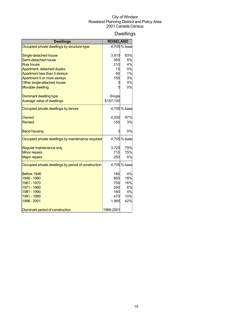## Dwellings

| <b>Dwellings</b><br><b>ROSELAND</b>                  |           |              |
|------------------------------------------------------|-----------|--------------|
| Occupied private dwellings by structure type         |           | 4,705% base  |
| Single-detached house                                | 3,915     | 83%          |
| Semi-detached house                                  | 365       | 8%           |
| <b>Row house</b>                                     | 210       | 4%           |
| Apartment, detached duplex                           | 15        | 0%           |
| Apartment less than 5 storeys                        | 40        | 1%           |
| Apartment 5 or more storeys                          | 155       | 3%           |
| Other single-attached house                          | 5         | 0%           |
| <b>Movable dwelling</b>                              |           | 0%           |
| Dominant dwelling type                               | Single    |              |
| Average value of dwellings                           | \$187,100 |              |
| Occupied private dwellings by tenure                 |           | 4,705% base  |
| Owned                                                | 4,550     | 97%          |
| <b>Rented</b>                                        | 155       | 3%           |
| <b>Band housing</b>                                  |           | 0%           |
| Occupied private dwellings by maintenance required   |           | 4,705 % base |
| Regular maintenance only                             | 3,725     | 79%          |
| <b>Minor repairs</b>                                 | 710       | 15%          |
| <b>Major repairs</b>                                 | 250       | 5%           |
| Occupied private dwellings by period of construction |           | 4,705% base  |
| Before 1946                                          | 180       | 4%           |
| 1946 - 1960                                          | 865       | 18%          |
| 1961 - 1970                                          | 755       | 16%          |
| 1971 - 1980                                          | 290       | 6%           |
| 1981 - 1990                                          | 180       | 4%           |
| 1991 - 1995                                          | 470       | 10%          |
| 1996 - 2001                                          | 1,965     | 42%          |
| Dominant period of construction                      | 1996-2001 |              |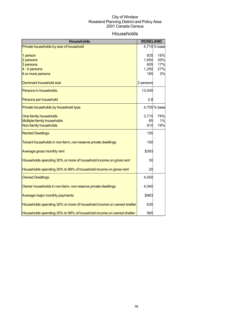### Households

| <b>Households</b>                                                    | <b>ROSELAND</b> |              |
|----------------------------------------------------------------------|-----------------|--------------|
| Private households by size of household                              |                 | 4,715% base  |
| 1 person                                                             | 835             | 18%          |
| 2 persons<br>3 persons                                               | 1,650<br>805    | 35%<br>17%   |
| 4 - 5 persons                                                        | 1,250           | 27%          |
| 6 or more persons                                                    | 165             | 3%           |
|                                                                      |                 |              |
| Dominant household size                                              | 2 persons       |              |
| Persons in households                                                | 13,040          |              |
| Persons per household                                                | 2.8             |              |
| Private households by household type                                 |                 | 4,705 % base |
| One-family households                                                | 3,710           | 79%          |
| Multiple-family households                                           | 65              | 1%           |
| Non-family households                                                | 910             | 19%          |
| <b>Rented Dwellings</b>                                              | 155             |              |
| Tenant households in non-farm, non-reserve private dwellings         | 150             |              |
| Average gross monthly rent                                           | \$393           |              |
| Households spending 30% or more of household income on gross rent    | 30              |              |
| Households spending 30% to 99% of household income on gross rent     | 20              |              |
| <b>Owned Dwellings</b>                                               | 4,550           |              |
| Owner households in non-farm, non-reserve private dwellings          | 4,540           |              |
| Average major monthly payments                                       | \$983           |              |
| Households spending 30% or more of household income on owned shelter | 630             |              |
| Households spending 30% to 99% of household income on owned shelter  | 565             |              |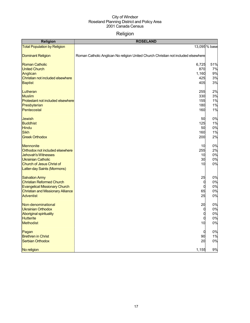## Religion

| Religion                                                    | <b>ROSELAND</b>                                                                    |               |
|-------------------------------------------------------------|------------------------------------------------------------------------------------|---------------|
| <b>Total Population by Religion</b>                         |                                                                                    | 13,095 % base |
| <b>Dominant Religion</b>                                    | Roman Catholic Anglican No religion United Church Christian not included elsewhere |               |
| <b>Roman Catholic</b><br><b>United Church</b>               | 6,725<br>870                                                                       | 51%<br>7%     |
| Anglican                                                    | 1,160                                                                              | 9%            |
| Christian not included elsewhere                            | 425                                                                                | 3%            |
| <b>Baptist</b>                                              | 405                                                                                | 3%            |
| Lutheran                                                    | 255                                                                                | 2%            |
| <b>Muslim</b>                                               | 330                                                                                | 3%            |
| Protestant not included elsewhere<br>Presbyterian           | 155<br>180                                                                         | 1%<br>1%      |
| Pentecostal                                                 | 160                                                                                | 1%            |
|                                                             |                                                                                    |               |
| <b>Jewish</b><br><b>Buddhist</b>                            | 50<br>125                                                                          | 0%<br>1%      |
| <b>Hindu</b>                                                | 50                                                                                 | 0%            |
| <b>Sikh</b>                                                 | 160                                                                                | 1%            |
| <b>Greek Orthodox</b>                                       | 200                                                                                | 2%            |
| <b>Mennonite</b>                                            | 10                                                                                 | 0%            |
| Orthodox not included elsewhere                             | 255                                                                                | 2%            |
| <b>Jehovah's Witnesses</b><br><b>Ukrainian Catholic</b>     | 10<br>30                                                                           | 0%<br>0%      |
| Church of Jesus Christ of                                   | 10                                                                                 | 0%            |
| Latter-day Saints (Mormons)                                 |                                                                                    |               |
| <b>Salvation Army</b>                                       | 25                                                                                 | 0%            |
| <b>Christian Reformed Church</b>                            | 0                                                                                  | 0%            |
| <b>Evangelical Missionary Church</b>                        | 0                                                                                  | 0%<br>0%      |
| <b>Christian and Missionary Alliance</b><br>Adventist       | 65<br>25                                                                           | 0%            |
|                                                             |                                                                                    |               |
| Non-denominational                                          | 20                                                                                 | 0%<br>0%      |
| <b>Ukrainian Orthodox</b><br><b>Aboriginal spirituality</b> | O<br>$\overline{0}$                                                                | 0%            |
| <b>Hutterite</b>                                            | 0                                                                                  | 0%            |
| <b>Methodist</b>                                            | 10                                                                                 | 0%            |
| Pagan                                                       | 0                                                                                  | 0%            |
| <b>Brethren in Christ</b>                                   | 90                                                                                 | 1%            |
| <b>Serbian Orthodox</b>                                     | 20                                                                                 | 0%            |
| No religion                                                 | 1,155                                                                              | 9%            |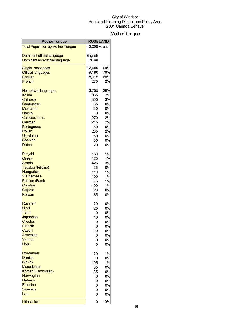## Mother Tongue

| <b>Mother Tongue</b>                                         | <b>ROSELAND</b>    |               |
|--------------------------------------------------------------|--------------------|---------------|
| <b>Total Population by Mother Tongue</b>                     |                    | 13,090 % base |
|                                                              |                    |               |
| Dominant official language<br>Dominant non-official language | English<br>Italian |               |
|                                                              |                    |               |
| Single responses                                             | 12,950             | 99%           |
| <b>Official languages</b>                                    | 9,190              | 70%           |
| <b>English</b>                                               | 8,915              | 68%           |
| French                                                       | 275                | 2%            |
| Non-official languages                                       | 3,755              | 29%           |
| Italian                                                      | 955                | 7%            |
| <b>Chinese</b>                                               | 355                | 3%            |
| Cantonese                                                    | 55                 | 0%            |
| <b>Mandarin</b>                                              | 30                 | 0%            |
| Hakka                                                        | 0                  | 0%            |
| Chinese, n.o.s.<br>German                                    | 270<br>215         | 2%<br>2%      |
| Portuguese                                                   | 60                 | 0%            |
| <b>Polish</b>                                                | 205                | 2%            |
| <b>Ukrainian</b>                                             | 50                 | 0%            |
| <b>Spanish</b>                                               | 50                 | 0%            |
| <b>Dutch</b>                                                 | 20                 | 0%            |
| Punjabi                                                      | 150                | 1%            |
| <b>Greek</b>                                                 | 125                | 1%            |
| Arabic                                                       | 425                | 3%            |
| Tagalog (Pilipino)                                           | 35                 | 0%            |
| Hungarian                                                    | 110                | 1%            |
| Vietnamese                                                   | 100                | 1%            |
| Persian (Farsi)                                              | 75                 | 1%            |
| Croatian                                                     | 100                | 1%            |
| Gujarati                                                     | 20                 | 0%            |
| Korean                                                       | 65                 | 0%            |
| <b>Russian</b>                                               | 20                 | 0%            |
| Hindi                                                        | 25                 | 0%            |
| Tamil                                                        | 0                  | 0%            |
| Japanese                                                     | 10                 | 0%            |
| <b>Creoles</b><br><b>Finnish</b>                             | U                  | 0%            |
| Czech                                                        | 0                  | 0%            |
| Armenian                                                     | 10<br>0            | 0%<br>0%      |
| Yiddish                                                      | 0                  | 0%            |
| <b>Urdu</b>                                                  | 0                  | 0%            |
| Romanian                                                     | 120                | 1%            |
| Danish                                                       | 0                  | 0%            |
| <b>Slovak</b>                                                | 105                | 1%            |
| Macedonian                                                   | 35                 | 0%            |
| Khmer (Cambodian)                                            | 35                 | 0%            |
| Norwegian                                                    | 0                  | 0%            |
| <b>Hebrew</b>                                                | 0                  | 0%            |
| Estonian                                                     | 0                  | 0%            |
| <b>Swedish</b>                                               | 0                  | 0%            |
| Lao                                                          | $\overline{0}$     | 0%            |
| Lithuanian                                                   | $\overline{0}$     | 0%            |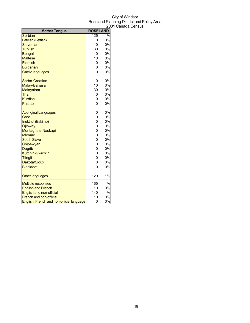| <b>Mother Tongue</b>                      |                                      | <b>ROSELAND</b> |
|-------------------------------------------|--------------------------------------|-----------------|
| <b>Serbian</b>                            | 125                                  | 1%              |
| Latvian (Lettish)                         | 0                                    | 0%              |
| Slovenian                                 | 10                                   | 0%              |
| <b>Turkish</b>                            | 30                                   | 0%              |
| <b>Bengali</b>                            | 0                                    | 0%              |
| <b>Maltese</b>                            | 10                                   | 0%              |
| Flemish                                   | 0                                    | 0%              |
| <b>Bulgarian</b>                          | 0                                    | 0%              |
| Gaelic languages                          | $\overline{0}$                       | 0%              |
| Serbo-Croatian                            | 10                                   | 0%              |
| Malay-Bahasa                              | 10                                   | 0%              |
| Malayalam                                 | 30                                   | 0%              |
| Thai                                      | 0                                    | 0%              |
| <b>Kurdish</b>                            | 0                                    | 0%              |
| Pashto                                    | $\overline{0}$                       | 0%              |
| <b>Aboriginal Languages</b>               | 0                                    | 0%              |
| Cree                                      | $\overline{0}$                       | 0%              |
| Inuktitut (Eskimo)                        | $\overline{0}$                       | 0%              |
| Ojibway                                   | $\begin{matrix} 0 \\ 0 \end{matrix}$ | 0%              |
| Montagnais-Naskapi                        |                                      | 0%              |
| <b>Micmac</b>                             | $\overline{0}$                       | 0%              |
| <b>South Slave</b>                        | $\begin{matrix} 0 \\ 0 \end{matrix}$ | 0%              |
| Chipewyan                                 |                                      | 0%              |
| <b>Dogrib</b>                             | $\overline{0}$                       | 0%              |
| <b>Kutchin-Gwich'in</b>                   | $\overline{0}$                       | 0%              |
| <b>Tlingit</b>                            | $\overline{0}$                       | 0%              |
| Dakota/Sioux                              | $\overline{0}$                       | 0%              |
| <b>Blackfoot</b>                          | $\overline{0}$                       | 0%              |
| <b>Other languages</b>                    | 120                                  | 1%              |
| <b>Multiple responses</b>                 | 165                                  | 1%              |
| <b>English and French</b>                 | 10                                   | 0%              |
| <b>English and non-official</b>           | 140                                  | 1%              |
| <b>French and non-official</b>            | 10                                   | 0%              |
| English, French and non-official language | 0                                    | 0%              |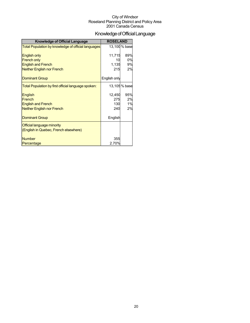## Knowledge of Official Language

| <b>Knowledge of Official Language</b>                                               | <b>ROSELAND</b>             |                       |
|-------------------------------------------------------------------------------------|-----------------------------|-----------------------|
| Total Population by knowledge of official languages                                 |                             | 13,100 % base         |
| <b>English only</b><br><b>French only</b>                                           | 11,715<br>10                | 89%<br>0%             |
| <b>English and French</b>                                                           | 1,135                       | 9%                    |
| <b>Neither English nor French</b>                                                   | 215                         | 2%                    |
| <b>Dominant Group</b>                                                               | English only                |                       |
| Total Population by first official language spoken:                                 |                             | 13,105 % base         |
| English<br>French<br><b>English and French</b><br><b>Neither English nor French</b> | 12,450<br>275<br>130<br>240 | 95%<br>2%<br>1%<br>2% |
| <b>Dominant Group</b>                                                               | English                     |                       |
| Official language minority<br>(English in Quebec, French elsewhere)                 |                             |                       |
| <b>Number</b>                                                                       | 355                         |                       |
| Percentage                                                                          | 2.70%                       |                       |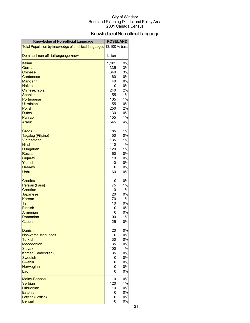## KnowledgeofNon-officialLanguage

| Knowledge of Non-official Language                    |            | <b>ROSELAND</b> |
|-------------------------------------------------------|------------|-----------------|
| Total Population by knowledge of unofficial languages |            | 13,100 % base   |
| Dominant non-official language known                  | Italian    |                 |
| <b>Italian</b>                                        | 1,185      | 9%              |
| German                                                | 335        | 3%              |
| <b>Chinese</b>                                        | 340        | 3%              |
| Cantonese                                             | 60         | 0%              |
| <b>Mandarin</b>                                       | 40         | 0%              |
| Hakka                                                 | C          | 0%              |
| Chinese, n.o.s.                                       | 240        | 2%              |
| <b>Spanish</b><br>Portuguese                          | 155<br>105 | 1%<br>1%        |
| <b>Ukrainian</b>                                      | 55         | 0%              |
| <b>Polish</b>                                         | 250        | 2%              |
| <b>Dutch</b>                                          | 30         | 0%              |
| Punjabi                                               | 155        | 1%              |
| <b>Arabic</b>                                         | 545        | 4%              |
| Greek                                                 | 185        | 1%              |
| Tagalog (Pilipino)                                    | 50         | 0%              |
| Vietnamese<br><b>Hindi</b>                            | 135<br>110 | 1%<br>1%        |
| Hungarian                                             | 120        | 1%              |
| <b>Russian</b>                                        | 60         | 0%              |
| Gujarati                                              | 10         | 0%              |
| Yiddish                                               | 10         | 0%              |
| <b>Hebrew</b>                                         | 0          | 0%              |
| <b>Urdu</b>                                           | 60         | 0%              |
| <b>Creoles</b>                                        | 0          | 0%              |
| Persian (Farsi)                                       | 75         | 1%              |
| Croatian                                              | 110        | 1%              |
| Japanese                                              | 20         | 0%              |
| <b>Korean</b><br><b>Tamil</b>                         | 70<br>10   | 1%<br>0%        |
| <b>Finnish</b>                                        |            | 0%              |
| Armenian                                              |            | 0%              |
| Romanian                                              | 100        | 1%              |
| Czech                                                 | 25         | 0%              |
| Danish                                                | 20         | 0%              |
| Non-verbal languages                                  |            | 0%              |
| <b>Turkish</b>                                        | 30         | 0%              |
| Macedonian<br><b>Slovak</b>                           | 35<br>100  | 0%<br>1%        |
| Khmer (Cambodian)                                     | 35         | 0%              |
| <b>Swedish</b>                                        |            | 0%              |
| <b>Swahili</b>                                        |            | 0%              |
| Norwegian                                             |            | 0%              |
| Lao                                                   | O          | 0%              |
| Malay-Bahasa                                          | 10         | 0%              |
| <b>Serbian</b>                                        | 120        | 1%              |
| Lithuanian                                            | 10         | 0%              |
| <b>Estonian</b><br>Latvian (Lettish)                  | C          | 0%<br>0%        |
| Bengali                                               | d          | 0%              |
|                                                       |            |                 |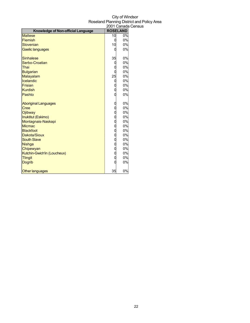|                                    |                                      | zuu Luanada      |
|------------------------------------|--------------------------------------|------------------|
| Knowledge of Non-official Language |                                      | <b>ROSELAND</b>  |
| <b>Maltese</b>                     | 10                                   | $\overline{0\%}$ |
| Flemish                            | 0                                    | 0%               |
| Slovenian                          | 10                                   | 0%               |
| Gaelic languages                   |                                      | 0%               |
| Sinhalese                          | 35                                   | 0%               |
| Serbo-Croatian                     | C                                    | 0%               |
| Thai                               |                                      | 0%               |
| <b>Bulgarian</b>                   |                                      | 0%               |
| Malayalam                          | 25                                   | 0%               |
| Icelandic                          | C                                    | 0%               |
| Frisian                            |                                      | 0%               |
| <b>Kurdish</b>                     | O                                    | 0%               |
| Pashto                             |                                      | 0%               |
| <b>Aboriginal Languages</b>        |                                      | 0%               |
| <b>Cree</b>                        | 0                                    | 0%               |
| Ojibway                            | $\mathbf{0}$                         | 0%               |
| Inuktitut (Eskimo)                 | O                                    | 0%               |
| Montagnais-Naskapi                 | O                                    | 0%               |
| <b>Micmac</b>                      | 0                                    | 0%               |
| Blackfoot                          | $\mathbf{0}$                         | 0%               |
| Dakota/Sioux                       | O                                    | 0%               |
| <b>South Slave</b>                 | O                                    | 0%               |
| <b>Nishga</b>                      | $\begin{matrix} 0 \\ 0 \end{matrix}$ | 0%               |
| Chipewyan                          |                                      | 0%               |
| Kutchin-Gwich'in (Loucheux)        | O                                    | 0%               |
| <b>Tlingit</b>                     | O                                    | 0%               |
| <b>Dogrib</b>                      |                                      | 0%               |
| <b>Other languages</b>             | 35                                   | 0%               |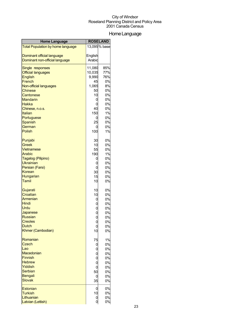## HomeLanguage

| <b>Home Language</b>                     | <b>ROSELAND</b>   |              |
|------------------------------------------|-------------------|--------------|
| <b>Total Population by home language</b> |                   | 13,095% base |
| Dominant official language               | English           |              |
| Dominant non-official language           | Arabic            |              |
|                                          |                   |              |
| Single responses                         | 11,080            | 85%          |
| <b>Official languages</b>                | 10,035            | 77%          |
| <b>English</b>                           | 9,990             | 76%          |
| French                                   | 45                | 0%<br>8%     |
| Non-official languages<br><b>Chinese</b> | 1,065<br>50       | 0%           |
| Cantonese                                | 10                | 0%           |
| <b>Mandarin</b>                          | 0                 | 0%           |
| Hakka                                    | 0                 | 0%           |
| Chinese, n.o.s.                          | 40                | 0%           |
| Italian                                  | 150               | 1%           |
| Portuguese                               | 0                 | 0%           |
| Spanish                                  | 25                | 0%           |
| German                                   | 0                 | 0%           |
| <b>Polish</b>                            | 100               | 1%           |
| Punjabi                                  | 30                | 0%           |
| <b>Greek</b>                             | 10                | 0%           |
| <b>Vietnamese</b>                        | 55                | 0%           |
| Arabic                                   | 190               | 1%           |
| Tagalog (Pilipino)                       | 0                 | 0%           |
| <b>Ukrainian</b><br>Persian (Farsi)      | 0                 | 0%<br>0%     |
| Korean                                   | 0<br>30           | 0%           |
| Hungarian                                | 15                | 0%           |
| <b>Tamil</b>                             | 10                | 0%           |
| Gujarati                                 | 10                | 0%           |
| Croatian                                 | 10                | 0%           |
| Armenian                                 | 0                 | 0%           |
| <b>Hindi</b>                             | 0                 | 0%           |
| Urdu                                     | $\overline{0}$    | 0%           |
| Japanese<br><b>Russian</b>               | $\overline{0}$    | 0%           |
| <b>Creoles</b>                           | 0                 | 0%           |
| <b>Dutch</b>                             | 0                 | 0%<br>0%     |
| Khmer (Cambodian)                        | 10                | 0%           |
| Romanian                                 | 75                | 1%           |
| Czech                                    | 0                 | 0%           |
| Lao                                      | $\mathbf{0}$      | 0%           |
| Macedonian                               |                   | 0%           |
| <b>Finnish</b>                           | $0$<br>$0$<br>$0$ | 0%           |
| <b>Hebrew</b>                            |                   | 0%           |
| Yiddish                                  | $\overline{0}$    | 0%           |
| <b>Serbian</b>                           | 50                | 0%           |
| <b>Bengali</b>                           | 0                 | 0%           |
| <b>Slovak</b>                            | 35                | 0%           |
| <b>Estonian</b>                          | 0                 | 0%           |
| <b>Turkish</b>                           | 10                | 0%           |
| Lithuanian                               | 0                 | 0%           |
| Latvian (Lettish)                        | 0                 | 0%           |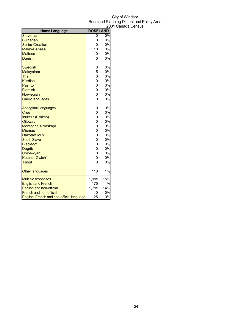| <b>Home Language</b>                      |                | <b>ROSELAND</b> |
|-------------------------------------------|----------------|-----------------|
| Slovenian                                 | 0              | 0%              |
| <b>Bulgarian</b>                          | 0              | 0%              |
| Serbo-Croatian                            | 0              | 0%              |
| Malay-Bahasa                              | 10             | 0%              |
| <b>Maltese</b>                            | 10             | 0%              |
| Danish                                    | 0              | 0%              |
| <b>Swedish</b>                            | 0              | 0%              |
| Malayalam                                 | 15             | 0%              |
| Thai                                      | 0              | 0%              |
| <b>Kurdish</b>                            | 0              | 0%              |
| Pashto                                    | 0              | 0%              |
| Flemish                                   | $\overline{0}$ | 0%              |
| Norwegian                                 | $\overline{0}$ | 0%              |
| Gaelic languages                          | $\overline{0}$ | 0%              |
| <b>Aboriginal Languages</b>               | 0              | 0%              |
| <b>Cree</b>                               | 0              | 0%              |
| Inuktitut (Eskimo)                        | 0              | 0%              |
| Ojibway                                   | $\overline{0}$ | 0%              |
| Montagnais-Naskapi                        | 0              | 0%              |
| <b>Micmac</b>                             | 0              | 0%              |
| Dakota/Sioux                              | $\overline{0}$ | 0%              |
| <b>South Slave</b>                        | 0              | 0%              |
| <b>Blackfoot</b>                          | 0              | 0%              |
| <b>Dogrib</b>                             | 0              | 0%              |
| Chipewyan                                 | 0              | 0%              |
| <b>Kutchin-Gwich'in</b>                   | 0              | 0%              |
| <b>Tlingit</b>                            | 0              | 0%              |
| Other languages                           | 110            | 1%              |
| <b>Multiple responses</b>                 | 1,995          | 15%             |
| <b>English and French</b>                 | 175            | 1%              |
| English and non-official                  | 1,795          | 14%             |
| <b>French and non-official</b>            | 0              | 0%              |
| English, French and non-official language | 25             | 0%              |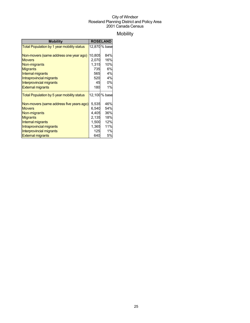## Mobility

| <b>Mobility</b>                            | <b>ROSELAND</b> |               |
|--------------------------------------------|-----------------|---------------|
| Total Population by 1 year mobility status |                 | 12,870 % base |
|                                            |                 |               |
| Non-movers (same address one year ago)     | 10,805          | 84%           |
| <b>Movers</b>                              | 2,070           | 16%           |
| Non-migrants                               | 1,315           | 10%           |
| <b>Migrants</b>                            | 735             | 6%            |
| <b>Internal migrants</b>                   | 565             | 4%            |
| Intraprovincial migrants                   | 520             | 4%            |
| Interprovincial migrants                   | 45              | 0%            |
| <b>External migrants</b>                   | 180             | 1%            |
| Total Population by 5 year mobility status |                 | 12,100 % base |
| Non-movers (same address five years ago)   | 5,535           | 46%           |
| <b>Movers</b>                              | 6,540           | 54%           |
| Non-migrants                               | 4,405           | 36%           |
| <b>Migrants</b>                            | 2,135           | 18%           |
| <b>Internal migrants</b>                   | 1,500           | 12%           |
| Intraprovincial migrants                   | 1,365           | 11%           |
| <b>Interprovincial migrants</b>            | 125             | 1%            |
| <b>External migrants</b>                   | 640             | 5%            |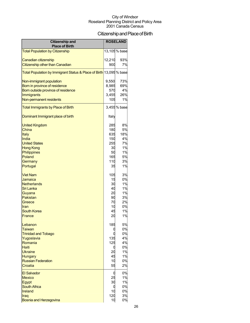## Citizenship and Place of Birth

| <b>Citizenship and</b><br><b>Place of Birth</b>                     |          | <b>ROSELAND</b> |
|---------------------------------------------------------------------|----------|-----------------|
| <b>Total Population by Citizenship</b>                              |          | 13,105 % base   |
| Canadian citizenship                                                | 12,210   | 93%             |
| Citizenship other than Canadian                                     | 900      | 7%              |
| Total Population by Immigrant Status & Place of Birth 13,095 % base |          |                 |
| Non-immigrant population                                            | 9,550    | 73%             |
| Born in province of residence                                       | 8,985    | 69%             |
| Born outside province of residence                                  | 570      | 4%              |
| Immigrants                                                          | 3,455    | 26%             |
| Non-permanent residents                                             | 105      | 1%              |
| <b>Total Immigrants by Place of Birth</b>                           |          | 3,455% base     |
| Dominant Immigrant place of birth                                   | Italy    |                 |
| <b>United Kingdom</b>                                               | 285      | 8%              |
| China                                                               | 180      | 5%              |
| Italy                                                               | 635      | 18%             |
| India                                                               | 150      | 4%              |
| <b>United States</b>                                                | 255      | 7%              |
| <b>Hong Kong</b>                                                    | 30       | 1%              |
| <b>Philippines</b>                                                  | 50       | 1%              |
| Poland                                                              | 165      | 5%              |
| Germany                                                             | 110      | 3%              |
| Portugal                                                            | 35       | 1%              |
| <b>Viet Nam</b>                                                     | 105      | 3%              |
| Jamaica                                                             | 15       | 0%              |
| <b>Netherlands</b>                                                  | 30       | 1%              |
| Sri Lanka                                                           | 40       | 1%              |
| Guyana                                                              | 20       | 1%              |
| Pakistan                                                            | 90       | 3%              |
| Greece                                                              | 70<br>10 | 2%<br>0%        |
| <b>Iran</b><br><b>South Korea</b>                                   | 45       | 1%              |
| France                                                              |          | 1%              |
|                                                                     | 20       |                 |
| Lebanon                                                             | 185      | 5%              |
| <b>Taiwan</b>                                                       | U        | 0%              |
| <b>Trinidad and Tobago</b>                                          |          | 0%              |
| Yugoslavia                                                          | 135      | 4%              |
| Romania<br><b>Haiti</b>                                             | 125      | 4%<br>0%        |
| <b>Ukraine</b>                                                      | U<br>20  | 1%              |
| <b>Hungary</b>                                                      | 45       | 1%              |
| <b>Russian Federation</b>                                           | 10       | 0%              |
| Croatia                                                             | 55       | 2%              |
| <b>El Salvador</b>                                                  | O        | 0%              |
| <b>Mexico</b>                                                       | 25       | 1%              |
| Egypt                                                               | 30       | 1%              |
| <b>South Africa</b>                                                 | C        | 0%              |
| <b>Ireland</b>                                                      | 10       | 0%              |
| Iraq                                                                | 120      | 3%              |
| <b>Bosnia and Herzegovina</b>                                       | 10       | 0%              |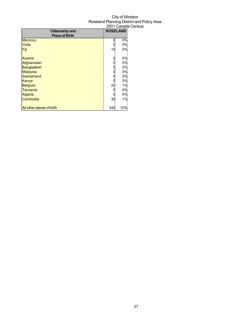|                                                 |     | -------         |
|-------------------------------------------------|-----|-----------------|
| <b>Citizenship and</b><br><b>Place of Birth</b> |     | <b>ROSELAND</b> |
| <b>Morocco</b>                                  |     | 0%              |
| Chile                                           |     | 0%              |
| Fiji                                            | 10  | 0%              |
| Austria                                         |     | 0%              |
| Afghanistan                                     |     | 0%              |
| <b>Bangladesh</b>                               |     | 0%              |
| <b>Malaysia</b>                                 |     | 0%              |
| Switzerland                                     |     | 0%              |
| Kenya                                           |     | 0%              |
| <b>Belgium</b>                                  | 20  | 1%              |
| Tanzania                                        |     | 0%              |
| <b>Algeria</b>                                  |     | 0%              |
| Cambodia                                        | 30  | 1%              |
| All other places of birth                       | 340 | 10%             |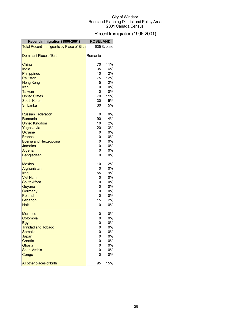## Recent Immigration (1996-2001)

| Recent Immigration (1996-2001)            | <b>ROSELAND</b> |            |
|-------------------------------------------|-----------------|------------|
| Total Recent Immigrants by Place of Birth |                 | 635 % base |
| <b>Dominant Place of Birth</b>            | Romania         |            |
| China                                     | 70              | 11%        |
| India                                     | 35              | 6%         |
| Philippines                               | 10              | 2%         |
| Pakistan                                  | 75              | 12%        |
| <b>Hong Kong</b>                          | 15              | 2%         |
| Iran                                      | 0               | 0%         |
| Taiwan                                    | d               | 0%         |
| <b>United States</b>                      | 70              | 11%        |
| <b>South Korea</b>                        | 30              | 5%         |
| <b>Sri Lanka</b>                          | 30              | 5%         |
| <b>Russian Federation</b>                 | C               | 0%         |
| Romania                                   | 90              | 14%        |
| <b>United Kingdom</b>                     | 10              | 2%         |
| Yugoslavia                                | 20              | 3%         |
| <b>Ukraine</b>                            | 0               | 0%         |
| France                                    |                 | 0%         |
| <b>Bosnia and Herzegovina</b>             | 0<br>0          | 0%         |
| Jamaica                                   |                 | 0%         |
| Algeria                                   |                 | 0%         |
| <b>Bangladesh</b>                         |                 | 0%         |
| <b>Mexico</b>                             | 10              | 2%         |
| Afghanistan                               |                 | 0%         |
| Iraq                                      | 55              | 9%         |
| <b>Viet Nam</b>                           | 0               | 0%         |
| <b>South Africa</b>                       |                 | 0%         |
| Guyana                                    | $\overline{0}$  | 0%         |
| Germany                                   | $\mathbf 0$     | 0%         |
| Poland<br>Lebanon                         | 15              | 0%<br>2%   |
| <b>Haiti</b>                              | O               | 0%         |
|                                           |                 |            |
| <b>Morocco</b>                            |                 | 0%         |
| Colombia                                  | 0               | 0%         |
| Egypt                                     |                 | 0%         |
| <b>Trinidad and Tobago</b>                |                 | 0%         |
| Somalia                                   |                 | 0%         |
| Japan                                     |                 | 0%         |
| Croatia                                   |                 | 0%         |
| Ghana                                     |                 | 0%         |
| Saudi Arabia                              |                 | 0%         |
| Congo                                     |                 | 0%         |
| All other places of birth                 | 95              | 15%        |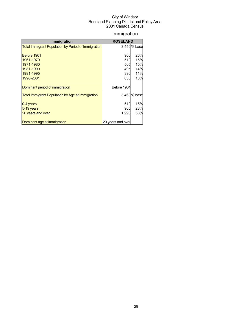## Immigration

| <b>Immigration</b>                                         | <b>ROSELAND</b>   |              |
|------------------------------------------------------------|-------------------|--------------|
| <b>Total Immigrant Population by Period of Immigration</b> |                   | 3,450 % base |
|                                                            |                   |              |
| Before 1961                                                | 900               | 26%          |
| 1961-1970                                                  | 510               | 15%          |
| 1971-1980                                                  | 505               | 15%          |
| 1981-1990                                                  | 495               | 14%          |
| 1991-1995                                                  | 390               | 11%          |
| 1996-2001                                                  | 635               | 18%          |
|                                                            |                   |              |
| Dominant period of immigration                             | Before 1961       |              |
| Total Immigrant Population by Age at Immigration           |                   | 3,460 % base |
| 0-4 years                                                  | 510               | 15%          |
| $5-19$ years                                               | 965               | 28%          |
| 20 years and over                                          | 1,990             | 58%          |
| Dominant age at immigration                                | 20 years and over |              |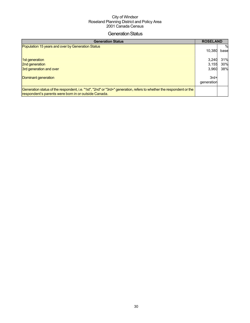### **Generation Status**

| <b>Generation Status</b>                                                                                                                                                     | <b>ROSELAND</b> |      |
|------------------------------------------------------------------------------------------------------------------------------------------------------------------------------|-----------------|------|
| Population 15 years and over by Generation Status                                                                                                                            |                 | $\%$ |
|                                                                                                                                                                              | 10,380          | base |
| 1st generation                                                                                                                                                               | 3,240           | 31%  |
| 2nd generation                                                                                                                                                               | 3,155           | 30%  |
| 3rd generation and over                                                                                                                                                      | 3,960           | 38%  |
| Dominant generation                                                                                                                                                          | $3rd+$          |      |
|                                                                                                                                                                              | generation      |      |
| Generation status of the respondent, i.e. "1st", "2nd" or "3rd+" generation, refers to whether the respondent or the<br>respondent's parents were born in or outside Canada. |                 |      |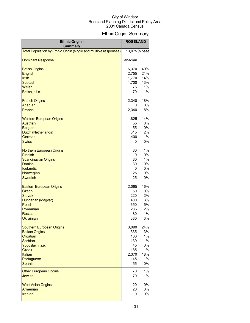## EthnicOrigin-Summary

| <b>Ethnic Origin -</b><br><b>Summary</b>                          | <b>ROSELAND</b> |               |
|-------------------------------------------------------------------|-----------------|---------------|
| Total Population by Ethnic Origin (single and multiple responses) |                 | 13,075 % base |
| <b>Dominant Response</b>                                          | Canadian        |               |
| <b>British Origins</b>                                            | 6,370           | 49%           |
| <b>English</b>                                                    | 2,755           | 21%           |
| <b>Irish</b>                                                      | 1,770           | 14%           |
| <b>Scottish</b>                                                   | 1,700           | 13%           |
| Welsh                                                             | 75              | 1%            |
| British, n.i.e.                                                   | 70              | 1%            |
| <b>French Origins</b>                                             | 2,340           | 18%           |
| Acadian                                                           | 0               | 0%            |
| French                                                            | 2,340           | 18%           |
| <b>Western European Origins</b>                                   | 1,825           | 14%           |
| <b>Austrian</b>                                                   | 55              | 0%            |
| <b>Belgian</b>                                                    | 55              | 0%            |
| Dutch (Netherlands)<br>German                                     | 315<br>1,400    | 2%<br>11%     |
| <b>Swiss</b>                                                      |                 | 0%            |
|                                                                   | 0               |               |
| Northern European Origins                                         | 80              | 1%            |
| Finnish                                                           | 0               | 0%            |
| <b>Scandinavian Origins</b>                                       | 80              | 1%            |
| Danish                                                            | 30              | 0%            |
| Icelandic                                                         | 0               | 0%            |
| Norwegian                                                         | 25              | 0%            |
| <b>Swedish</b>                                                    | 25              | 0%            |
| <b>Eastern European Origins</b>                                   | 2,065           | 16%           |
| Czech                                                             | 50              | 0%            |
| <b>Slovak</b>                                                     | 220             | 2%<br>3%      |
| Hungarian (Magyar)<br>Polish                                      | 400<br>650      | 5%            |
| Romanian                                                          | 285             | 2%            |
| Russian                                                           | 80              | 1%            |
| Ukrainian                                                         | 380             | 3%            |
| <b>Southern European Origins</b>                                  | 3,090           | 24%           |
| <b>Balkan Origins</b>                                             | 335             | 3%            |
| Croatian                                                          | 160             | 1%            |
| Serbian                                                           | 130             | 1%            |
| Yugoslav, n.i.e.                                                  | 45              | 0%            |
| <b>Greek</b>                                                      | 185             | 1%            |
| Italian                                                           | 2,370           | 18%           |
| Portuguese                                                        | 145             | 1%            |
| <b>Spanish</b>                                                    | 55              | 0%            |
| <b>Other European Origins</b><br><b>Jewish</b>                    | 70<br>70        | 1%<br>1%      |
|                                                                   |                 |               |
| <b>West Asian Origins</b>                                         | 20              | 0%            |
| <b>Armenian</b>                                                   | 20              | 0%            |
| <b>Iranian</b>                                                    | 0               | 0%            |
|                                                                   |                 |               |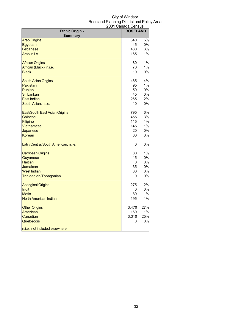| <b>Ethnic Origin -</b>               | <b>ROSELAND</b> |       |
|--------------------------------------|-----------------|-------|
| <b>Summary</b>                       |                 |       |
| <b>Arab Origins</b>                  | 640             | 5%    |
| Egyptian                             | 45              | 0%    |
| Lebanese                             | 430             | 3%    |
| Arab, n.i.e.                         | 165             | $1\%$ |
| <b>African Origins</b>               | 80              | 1%    |
| African (Black), n.i.e.              | 70              | 1%    |
| <b>Black</b>                         | 10              | 0%    |
| <b>South Asian Origins</b>           | 465             | 4%    |
| Pakistani                            | 95              | 1%    |
| Punjabi                              | 50              | 0%    |
| <b>Sri Lankan</b>                    | 45              | 0%    |
| <b>East Indian</b>                   | 265             | 2%    |
| South Asian, n.i.e.                  | 10              | 0%    |
| East/South East Asian Origins        | 795             | 6%    |
| <b>Chinese</b>                       | 455             | 3%    |
| Filipino                             | 115             | 1%    |
| <b>Vietnamese</b>                    | 145             | 1%    |
| Japanese                             | 20              | 0%    |
| <b>Korean</b>                        | 60              | 0%    |
| Latin/Central/South American, n.i.e. | $\mathbf 0$     | 0%    |
| <b>Carribean Origins</b>             | 80              | 1%    |
| Guyanese                             | 15              | 0%    |
| <b>Haitian</b>                       | 0               | 0%    |
| Jamaican                             | 35              | 0%    |
| <b>West Indian</b>                   | 30              | 0%    |
| Trinidadian/Tobagonian               | 0               | 0%    |
| <b>Aboriginal Origins</b>            | 275             | 2%    |
| <b>Inuit</b>                         | 0               | 0%    |
| <b>Metis</b>                         | 80              | 1%    |
| <b>North American Indian</b>         | 195             | 1%    |
| <b>Other Origins</b>                 | 3,470           | 27%   |
| American                             | 160             | 1%    |
| Canadian                             | 3,310           | 25%   |
| Quebecois                            | 0               | 0%    |
| n.i.e.: not included elsewhere       |                 |       |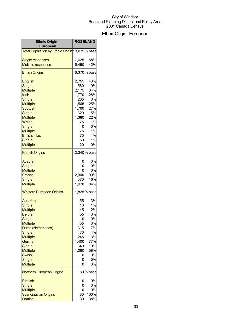## EthnicOrigin-European

| <b>Ethnic Origin -</b><br><b>European</b>       |       | <b>ROSELAND</b> |
|-------------------------------------------------|-------|-----------------|
|                                                 |       |                 |
| Total Population by Ethnic Origin 13,075 % base |       |                 |
| <b>Single responses</b>                         | 7,625 | 58%             |
| <b>Multiple responses</b>                       | 5,450 | 42%             |
| <b>British Origins</b>                          |       | 6,370 % base    |
| <b>English</b>                                  | 2,755 | 43%             |
| Single                                          | 580   | 9%              |
| <b>Multiple</b>                                 | 2,175 | 34%             |
| <b>Irish</b>                                    | 1,770 | 28%             |
| <b>Single</b>                                   | 205   | 3%              |
| <b>Multiple</b>                                 | 1,565 | 25%             |
| <b>Scottish</b>                                 | 1,700 | 27%             |
| Single                                          | 320   | 5%              |
| <b>Multiple</b>                                 | 1,380 | 22%             |
| Welsh                                           | 75    | 1%              |
| Single                                          | 0     | 0%              |
| <b>Multiple</b>                                 | 75    | 1%              |
| British, n.i.e.                                 | 70    | 1%              |
| Single                                          | 50    | 1%              |
| <b>Multiple</b>                                 | 20    | 0%              |
| <b>French Origins</b>                           |       | 2,340 % base    |
| Acadian                                         |       | 0%              |
| <b>Single</b>                                   |       | 0%              |
| <b>Multiple</b>                                 |       | 0%              |
| French                                          | 2,340 | 100%            |
| Single                                          | 370   | 16%             |
| <b>Multiple</b>                                 | 1,970 | 84%             |
| <b>Western European Origins</b>                 |       | 1,825% base     |
| Austrian                                        | 55    | 3%              |
| <b>Single</b>                                   | 10    | 1%              |
| <b>Multiple</b>                                 | 45    | 2%              |
| <b>Belgian</b>                                  | 55    | 3%              |
| <b>Single</b>                                   | 0     | 0%              |
| Multiple                                        | 55    | 3%              |
| Dutch (Netherlands)                             | 315   | 17%             |
| <b>Single</b>                                   | 70    | 4%              |
| <b>Multiple</b>                                 | 245   | 13%             |
| German                                          | 1,400 | 77%             |
| <b>Single</b>                                   | 340   | 19%             |
| <b>Multiple</b>                                 | 1,060 | 58%             |
| <b>Swiss</b>                                    |       | 0%              |
| <b>Single</b>                                   |       | 0%              |
| <b>Multiple</b>                                 | C     | 0%              |
| <b>Northern European Origins</b>                |       | 80 % base       |
| <b>Finnish</b>                                  |       | 0%              |
| <b>Single</b>                                   |       | 0%              |
| <b>Multiple</b>                                 |       | 0%              |
| <b>Scandinavian Origins</b>                     | 80    | 100%            |
| Danish                                          | 30    | 38%             |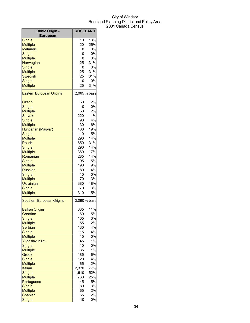| <b>Ethnic Origin -</b>           | <b>ROSELAND</b> |              |
|----------------------------------|-----------------|--------------|
| <b>European</b><br>Single        | 10              | 13%          |
| <b>Multiple</b>                  | 20              | 25%          |
| Icelandic                        |                 | 0%           |
|                                  | 0               | 0%           |
| Single                           | C               |              |
| <b>Multiple</b>                  | Ω               | 0%           |
| Norwegian                        | 25              | 31%          |
| Single                           | 0               | 0%           |
| <b>Multiple</b>                  | 25              | 31%          |
| <b>Swedish</b>                   | 25              | 31%          |
| Single                           | 0               | 0%           |
| <b>Multiple</b>                  | 25              | 31%          |
| <b>Eastern European Origins</b>  |                 | 2,065 % base |
| Czech                            | 50              | 2%           |
| <b>Single</b>                    | Ü               | 0%           |
| <b>Multiple</b>                  | 50              | 2%           |
| <b>Slovak</b>                    | 220             | 11%          |
| Single                           | 90              | 4%           |
| <b>Multiple</b>                  | 130             | 6%           |
| Hungarian (Magyar)               | 400             | 19%          |
| Single                           | 110             | 5%           |
| <b>Multiple</b>                  | 290             | 14%          |
| <b>Polish</b>                    | 650             | 31%          |
| Single                           | 290             | 14%          |
| <b>Multiple</b>                  | 360             | 17%          |
| Romanian                         | 285             | 14%          |
| Single                           | 95              | 5%           |
| <b>Multiple</b>                  | 190             | 9%           |
| <b>Russian</b>                   | 80              | 4%           |
| Single                           | 10              | 0%           |
| <b>Multiple</b>                  | 70              | 3%           |
| <b>Ukrainian</b>                 | 380             | 18%          |
| Single                           | 70              | 3%           |
| <b>Multiple</b>                  | 310             | 15%          |
| <b>Southern European Origins</b> |                 | 3,090 % base |
|                                  |                 |              |
| <b>Balkan Origins</b>            | 335             | 11%          |
| Croatian                         | 160             | 5%           |
| Single                           | 105             | 3%           |
| <b>Multiple</b>                  | 55              | 2%           |
| Serbian                          | 130             | 4%           |
| Single                           | 115             | 4%           |
| <b>Multiple</b>                  | 15              | 0%           |
| Yugoslav, n.i.e.                 | 45              | 1%           |
| Single                           | 10              | 0%           |
| <b>Multiple</b>                  | 35              | 1%           |
| Greek                            | 185             | 6%           |
| Single                           | 120             | 4%           |
| <b>Multiple</b>                  | 65              | 2%           |
| <b>Italian</b>                   | 2,370           | 77%          |
| Single                           | 1,610           | 52%          |
| <b>Multiple</b>                  | 760             | 25%          |
| Portuguese                       | 145             | 5%           |
| Single                           | 80              | 3%           |
| <b>Multiple</b>                  | 65              | 2%           |
| <b>Spanish</b>                   | 55              | 2%           |
| Single                           | 10              | 0%           |
|                                  |                 |              |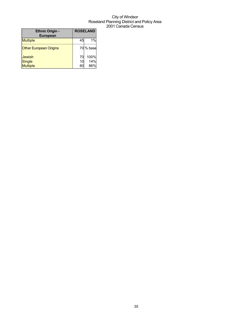| <b>Ethnic Origin -</b>        |    | <b>ROSELAND</b> |
|-------------------------------|----|-----------------|
| European                      |    |                 |
| <b>Multiple</b>               | 45 | 1%              |
| <b>Other European Origins</b> |    | 70 % base       |
| <b>Jewish</b>                 | 70 | 100%            |
| <b>Single</b>                 | 10 | 14%             |
| <b>Multiple</b>               | 60 | 86%             |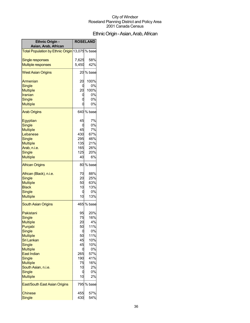## EthnicOrigin-Asian,Arab,African

| <b>Ethnic Origin -</b>                                       | <b>ROSELAND</b> |            |
|--------------------------------------------------------------|-----------------|------------|
| Asian, Arab, African                                         |                 |            |
| <mark>Total Population by Ethnic Origin</mark> 13,075 % base |                 |            |
| <b>Single responses</b>                                      | 7,625           | 58%        |
| <b>Multiple responses</b>                                    | 5,450           | 42%        |
| <b>West Asian Origins</b>                                    |                 | 20 % base  |
| Armenian                                                     | 20              | 100%       |
| <b>Single</b>                                                | 0               | 0%         |
| <b>Multiple</b>                                              | 20              | 100%       |
| Iranian                                                      | 0               | 0%         |
| <b>Single</b>                                                | 0<br>Ó          | 0%<br>0%   |
| <b>Multiple</b>                                              |                 |            |
| <b>Arab Origins</b>                                          |                 | 640 % base |
| Egyptian                                                     | 45              | 7%         |
| Single                                                       | 0               | 0%         |
| <b>Multiple</b>                                              | 45              | 7%         |
| Lebanese                                                     | 430             | 67%        |
| <b>Single</b>                                                | 295<br>135      | 46%        |
| <b>Multiple</b><br>Arab, n.i.e.                              | 165             | 21%<br>26% |
| <b>Single</b>                                                | 125             | 20%        |
| <b>Multiple</b>                                              | 40              | 6%         |
|                                                              |                 | 80 % base  |
| <b>African Origins</b>                                       |                 |            |
| African (Black), n.i.e.                                      | 70              | 88%        |
| Single                                                       | 20              | 25%        |
| <b>Multiple</b>                                              | 50              | 63%        |
| <b>Black</b>                                                 | 10              | 13%<br>0%  |
| <b>Single</b><br><b>Multiple</b>                             | 0<br>10         | 13%        |
|                                                              |                 |            |
| <b>South Asian Origins</b>                                   |                 | 465 % base |
| Pakistani                                                    | 95              | 20%        |
| Single                                                       | 75              | 16%        |
| Multiple                                                     | 20              | 4%         |
| Punjabi                                                      | 50              | 11%        |
| Single                                                       | 0               | 0%         |
| <b>Multiple</b><br>Sri Lankan                                | 50<br>45        | 11%<br>10% |
| <b>Single</b>                                                | 45              | 10%        |
| <b>Multiple</b>                                              | 0               | 0%         |
| <b>East Indian</b>                                           | 265             | 57%        |
| <b>Single</b>                                                | 190             | 41%        |
| <b>Multiple</b>                                              | 75              | 16%        |
| South Asian, n.i.e.                                          | 10              | 2%         |
| Single                                                       | 0               | 0%         |
| <b>Multiple</b>                                              | 10              | 2%         |
| East/South East Asian Origins                                |                 | 795 % base |
| <b>Chinese</b>                                               | 455             | 57%        |
| Single                                                       | 430             | 54%        |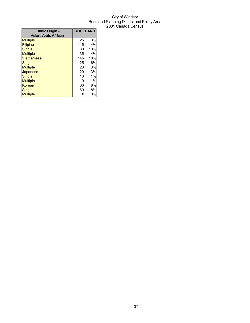| <b>Ethnic Origin -</b> | <b>ROSELAND</b> |     |
|------------------------|-----------------|-----|
| Asian, Arab, African   |                 |     |
| <b>Multiple</b>        | 25              | 3%  |
| Filipino               | 115             | 14% |
| Single                 | 80              | 10% |
| <b>Multiple</b>        | 35              | 4%  |
| <b>Vietnamese</b>      | 145             | 18% |
| Single                 | 125             | 16% |
| <b>Multiple</b>        | 20              | 3%  |
| Japanese               | 20              | 3%  |
| Single                 | 10              | 1%  |
| <b>Multiple</b>        | 10              | 1%  |
| Korean                 | 60              | 8%  |
| Single                 | 60              | 8%  |
| <b>Multiple</b>        |                 | 0%  |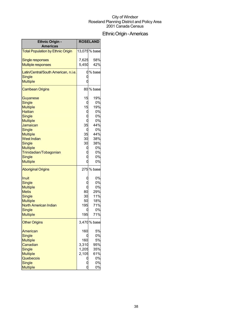### EthnicOrigin-Americas

| <b>Ethnic Origin -</b><br><b>Americas</b> |         | <b>ROSELAND</b> |
|-------------------------------------------|---------|-----------------|
| <b>Total Population by Ethnic Origin</b>  |         | 13,075% base    |
| <b>Single responses</b>                   | 7,625   | 58%             |
| <b>Multiple responses</b>                 | 5,450   | 42%             |
| Latin/Central/South American, n.i.e.      |         | 0% base         |
| <b>Single</b>                             |         |                 |
| <b>Multiple</b>                           |         |                 |
| <b>Carribean Origins</b>                  |         | 80 % base       |
| Guyanese                                  | 15      | 19%             |
| <b>Single</b>                             | 0       | 0%              |
| <b>Multiple</b>                           | 15      | 19%             |
| <b>Haitian</b>                            | 0       | 0%              |
| Single                                    |         | 0%              |
| <b>Multiple</b>                           |         | 0%<br>44%       |
| Jamaican                                  | 35      | 0%              |
| Single<br><b>Multiple</b>                 | 0<br>35 | 44%             |
| <b>West Indian</b>                        | 30      | 38%             |
| Single                                    | 30      | 38%             |
| <b>Multiple</b>                           | U       | 0%              |
| Trinidadian/Tobagonian                    |         | 0%              |
| Single                                    |         | 0%              |
| <b>Multiple</b>                           | O       | 0%              |
| <b>Aboriginal Origins</b>                 |         | 275 % base      |
| Inuit                                     |         | 0%              |
| <b>Single</b>                             |         | 0%              |
| <b>Multiple</b>                           |         | 0%              |
| <b>Metis</b>                              | 80      | 29%             |
| <b>Single</b>                             | 30      | 11%             |
| <b>Multiple</b>                           | 50      | 18%             |
| North American Indian                     | 195     | 71%             |
| <b>Single</b>                             | 0       | 0%              |
| <b>Multiple</b>                           | 195     | 71%             |
| <b>Other Origins</b>                      |         | 3,470 % base    |
| American                                  | 160     | 5%              |
| <b>Single</b>                             |         | 0%              |
| <b>Multiple</b>                           | 160     | 5%              |
| Canadian                                  | 3,310   | 95%             |
| Single                                    | 1,205   | 35%             |
| <b>Multiple</b>                           | 2,105   | 61%             |
| Quebecois                                 |         | 0%              |
| <b>Single</b>                             |         | 0%              |
| <b>Multiple</b>                           |         | 0%              |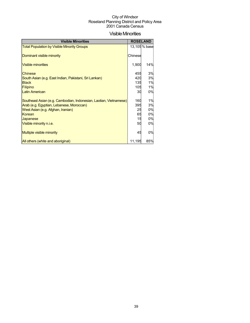### **Visible Minorities**

| <b>Visible Minorities</b>                                         |         | <b>ROSELAND</b> |
|-------------------------------------------------------------------|---------|-----------------|
| <b>Total Population by Visible Minority Groups</b>                |         | 13,105 % base   |
| Dominant visible minority                                         | Chinese |                 |
| <b>Visible minorities</b>                                         | 1,900   | 14%             |
| Chinese                                                           | 455     | 3%              |
| South Asian (e.g. East Indian, Pakistani, Sri Lankan)             | 420     | 3%              |
| <b>Black</b>                                                      | 135     | 1%              |
| Filipino                                                          | 105     | 1%              |
| <b>Latin American</b>                                             | 30      | 0%              |
| Southeast Asian (e.g. Cambodian, Indonesian, Laotian, Vietnamese) | 160     | 1%              |
| Arab (e.g. Egyptian, Lebanese, Moroccan)                          | 395     | 3%              |
| West Asian (e.g. Afghan, Iranian)                                 | 25      | 0%              |
| Korean                                                            | 65      | 0%              |
| Japanese                                                          | 15      | 0%              |
| Visible minority n.i.e.                                           | 50      | 0%              |
| <b>Multiple visible minority</b>                                  | 45      | 0%              |
| All others (white and aboriginal)                                 | 11,195  | 85%             |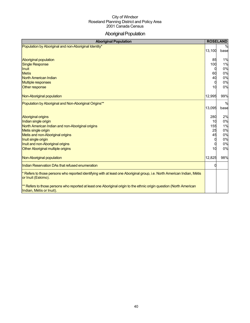### Aboriginal Population

| <b>Aboriginal Population</b>                                                                                                                     | <b>ROSELAND</b> |               |
|--------------------------------------------------------------------------------------------------------------------------------------------------|-----------------|---------------|
| Population by Aboriginal and non-Aboriginal Identity*                                                                                            |                 | $\frac{0}{0}$ |
|                                                                                                                                                  | 13,100          | base          |
|                                                                                                                                                  |                 |               |
| <b>Aboriginal population</b>                                                                                                                     | 85              | 1%            |
| <b>Single Response</b>                                                                                                                           | 100             | 1%            |
| Inuit                                                                                                                                            | n               | 0%            |
| <b>Metis</b>                                                                                                                                     | 60              | 0%            |
| North American Indian                                                                                                                            | 40              | 0%            |
| <b>Multiple responses</b>                                                                                                                        | $\Omega$        | 0%            |
| Other response                                                                                                                                   | 10              | 0%            |
| Non-Aboriginal population                                                                                                                        | 12,995          | 99%           |
| Population by Aboriginal and Non-Aboriginal Origins**                                                                                            |                 | $\frac{0}{0}$ |
|                                                                                                                                                  | 13,095          | base          |
|                                                                                                                                                  |                 |               |
| <b>Aboriginal origins</b>                                                                                                                        | 280             | 2%            |
| Indian single origin                                                                                                                             | 10              | 0%            |
| North American Indian and non-Aboriginal origins                                                                                                 | 155             | 1%            |
| Metis single origin                                                                                                                              | 25              | 0%            |
| Metis and non-Aboriginal origins                                                                                                                 | 45              | 0%            |
| Inuit single origin                                                                                                                              | $\Omega$        | 0%            |
| Inuit and non-Aboriginal origins                                                                                                                 | 0               | 0%            |
| Other Aboriginal multiple origins                                                                                                                | 10              | 0%            |
|                                                                                                                                                  |                 |               |
| Non-Aboriginal population                                                                                                                        | 12,825          | 98%           |
| Indian Reservation DAs that refused enumeration                                                                                                  |                 |               |
| Refers to those persons who reported identifying with at least one Aboriginal group, i.e. North American Indian, Métis<br>or Inuit (Eskimo).     |                 |               |
| ** Refers to those persons who reported at least one Aboriginal origin to the ethnic origin question (North American<br>Indian, Métis or Inuit). |                 |               |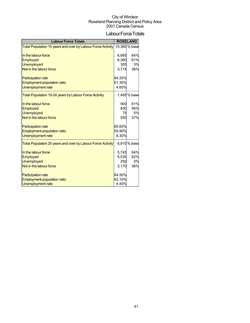### Labour Force Totals

| <b>Labour Force Totals</b>                                  |        | <b>ROSELAND</b> |
|-------------------------------------------------------------|--------|-----------------|
| Total Population 15 years and over by Labour Force Activity |        | 10,380 % base   |
| In the labour force                                         | 6,665  | 64%             |
| Employed                                                    | 6,360  | 61%             |
|                                                             | 305    | 3%              |
| <b>Unemployed</b>                                           |        |                 |
| Not in the labour force                                     | 3,715  | 36%             |
| <b>Participation rate</b>                                   | 64.20% |                 |
| <b>Employment-population ratio</b>                          | 61.30% |                 |
| Unemployment rate                                           | 4.60%  |                 |
| Total Population 15-24 years by Labour Force Activity       |        | 1,485% base     |
| In the labour force                                         | 900    | 61%             |
| Employed                                                    | 830    | 56%             |
| <b>Unemployed</b>                                           | 75     | 5%              |
| Not in the labour force                                     | 550    | 37%             |
|                                                             |        |                 |
| <b>Participation rate</b>                                   | 60.60% |                 |
| <b>Employment-population ratio</b>                          | 55.90% |                 |
| Unemployment rate                                           | 8.30%  |                 |
| Total Population 25 years and over by Labour Force Activity |        | 8,910 % base    |
| In the labour force                                         | 5,745  | 64%             |
| Employed                                                    | 5,530  | 62%             |
| <b>Unemployed</b>                                           | 250    | 3%              |
| Not in the labour force                                     | 3,170  | 36%             |
|                                                             |        |                 |
| <b>Participation rate</b>                                   | 64.50% |                 |
| <b>Employment-population ratio</b>                          | 62.10% |                 |
| <b>Unemployment rate</b>                                    | 4.40%  |                 |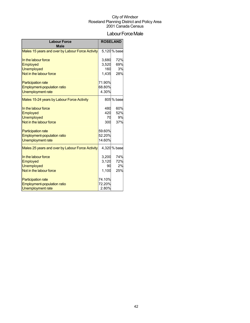### Labour Force Male

| <b>Labour Force</b><br><b>Male</b>               |        | <b>ROSELAND</b> |  |
|--------------------------------------------------|--------|-----------------|--|
| Males 15 years and over by Labour Force Activity |        | 5,120 % base    |  |
| In the labour force                              | 3,680  | 72%             |  |
| Employed                                         | 3,520  | 69%             |  |
| <b>Unemployed</b>                                | 160    | 3%              |  |
| Not in the labour force                          | 1,435  | 28%             |  |
| <b>Participation rate</b>                        | 71.90% |                 |  |
| Employment-population ratio                      | 68.80% |                 |  |
| Unemployment rate                                | 4.30%  |                 |  |
| Males 15-24 years by Labour Force Activity       |        | 805% base       |  |
| In the labour force                              | 480    | 60%             |  |
| Employed                                         | 420    | 52%             |  |
| <b>Unemployed</b>                                | 70     | 9%              |  |
| Not in the labour force                          | 300    | 37%             |  |
| <b>Participation rate</b>                        | 59.60% |                 |  |
| Employment-population ratio                      | 52.20% |                 |  |
| Unemployment rate                                | 14.60% |                 |  |
| Males 25 years and over by Labour Force Activity |        | 4,320 % base    |  |
| In the labour force                              | 3,200  | 74%             |  |
| Employed                                         | 3,120  | 72%             |  |
| <b>Unemployed</b>                                | 90     | 2%              |  |
| Not in the labour force                          | 1,100  | 25%             |  |
| <b>Participation rate</b>                        | 74.10% |                 |  |
| Employment-population ratio                      | 72.20% |                 |  |
| Unemployment rate                                | 2.80%  |                 |  |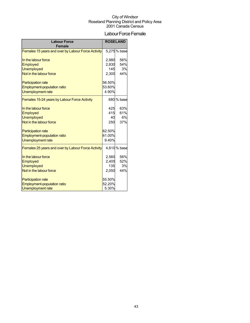### Labour Force Female

| <b>Labour Force</b><br><b>Female</b>               |        | <b>ROSELAND</b> |  |
|----------------------------------------------------|--------|-----------------|--|
| Females 15 years and over by Labour Force Activity |        | 5,275% base     |  |
| In the labour force                                | 2,980  | 56%             |  |
| Employed                                           | 2,830  | 54%             |  |
| <b>Unemployed</b>                                  | 145    | 3%              |  |
| Not in the labour force                            | 2,300  | 44%             |  |
| <b>Participation rate</b>                          | 56.50% |                 |  |
| Employment-population ratio                        | 53.60% |                 |  |
| Unemployment rate                                  | 4.90%  |                 |  |
| Females 15-24 years by Labour Force Activity       |        | 680 % base      |  |
| In the labour force                                | 425    | 63%             |  |
| Employed                                           | 415    | 61%             |  |
| <b>Unemployed</b>                                  | 40     | 6%              |  |
| Not in the labour force                            | 250    | 37%             |  |
| <b>Participation rate</b>                          | 62.50% |                 |  |
| Employment-population ratio                        | 61.00% |                 |  |
| <b>Unemployment rate</b>                           | 9.40%  |                 |  |
| Females 25 years and over by Labour Force Activity |        | 4,610% base     |  |
| In the labour force                                | 2,560  | 56%             |  |
| Employed                                           | 2,405  | 52%             |  |
| <b>Unemployed</b>                                  | 135    | 3%              |  |
| Not in the labour force                            | 2,050  | 44%             |  |
| <b>Participation rate</b>                          | 55.50% |                 |  |
| Employment-population ratio                        | 52.20% |                 |  |
| <b>Unemployment rate</b>                           | 5.30%  |                 |  |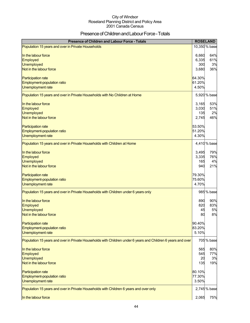### Presence of Children and Labour Force - Totals

| <b>Presence of Children and Labour Force - Totals</b>                                                        |        | <b>ROSELAND</b> |
|--------------------------------------------------------------------------------------------------------------|--------|-----------------|
| Population 15 years and over in Private Households                                                           |        | 10,350 % base   |
| In the labour force                                                                                          | 6,660  | 64%             |
| Employed                                                                                                     | 6,335  | 61%             |
| <b>Unemployed</b>                                                                                            | 300    | 3%              |
| Not in the labour force                                                                                      | 3,680  | 36%             |
| <b>Participation rate</b>                                                                                    | 64.30% |                 |
| Employment-population ratio                                                                                  | 61.20% |                 |
| Unemployment rate                                                                                            | 4.50%  |                 |
| Population 15 years and over in Private Households with No Children at Home                                  |        | 5,920 % base    |
| In the labour force                                                                                          | 3,165  | 53%             |
| Employed                                                                                                     | 3,030  | 51%             |
| <b>Unemployed</b>                                                                                            | 135    | 2%              |
| Not in the labour force                                                                                      | 2,745  | 46%             |
| Participation rate                                                                                           | 53.50% |                 |
| Employment-population ratio                                                                                  | 51.20% |                 |
| Unemployment rate                                                                                            | 4.30%  |                 |
| Population 15 years and over in Private Households with Children at Home                                     |        | 4,410 % base    |
| In the labour force                                                                                          | 3,495  | 79%             |
| Employed                                                                                                     | 3,335  | 76%             |
| <b>Unemployed</b>                                                                                            | 165    | 4%              |
| Not in the labour force                                                                                      | 940    | 21%             |
| <b>Participation rate</b>                                                                                    | 79.30% |                 |
| Employment-population ratio                                                                                  | 75.60% |                 |
| <b>Unemployment rate</b>                                                                                     | 4.70%  |                 |
| Population 15 years and over in Private Households with Children under 6 years only                          |        | 985 % base      |
| In the labour force                                                                                          | 890    | 90%             |
| Employed                                                                                                     | 820    | 83%             |
| <b>Unemployed</b>                                                                                            | 45     | 5%              |
| Not in the labour force                                                                                      | 80     | 8%              |
| <b>Participation rate</b>                                                                                    | 90.40% |                 |
| Employment-population ratio                                                                                  | 83.20% |                 |
| Unemployment rate                                                                                            | 5.10%  |                 |
| Population 15 years and over in Private Households with Children under 6 years and Children 6 years and over |        | 705 % base      |
| In the labour force                                                                                          | 565    | 80%             |
| Employed                                                                                                     | 545    | 77%             |
| <b>Unemployed</b>                                                                                            | 20     | 3%              |
| Not in the labour force                                                                                      | 135    | 19%             |
| <b>Participation rate</b>                                                                                    | 80.10% |                 |
| Employment-population ratio                                                                                  | 77.30% |                 |
| Unemployment rate                                                                                            | 3.50%  |                 |
| Population 15 years and over in Private Households with Children 6 years and over only                       |        | 2,745% base     |
| In the labour force                                                                                          | 2,065  | <b>75%</b>      |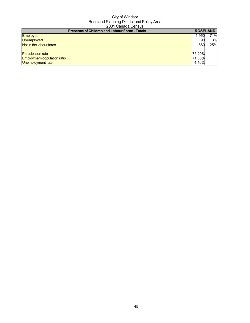| <b>Presence of Children and Labour Force - Totals</b> |        | <b>ROSELAND</b> |
|-------------------------------------------------------|--------|-----------------|
| <b>Employed</b>                                       | 1.950  | 71%             |
| <b>Unemployed</b>                                     |        | 3%              |
| Not in the labour force                               | 68C    | 25%             |
| <b>Participation rate</b>                             | 75.20% |                 |
| Employment-population ratio                           | 71.00% |                 |
| Unemployment rate                                     | 4.40%  |                 |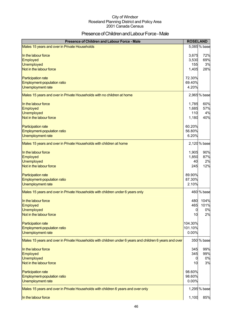## Presence of Children and Labour Force - Male

| Presence of Children and Labour Force - Male                                                             | <b>ROSELAND</b>                    |                          |
|----------------------------------------------------------------------------------------------------------|------------------------------------|--------------------------|
| Males 15 years and over in Private Households                                                            |                                    | 5,085 % base             |
| In the labour force<br>Employed<br><b>Unemployed</b>                                                     | 3,675<br>3,530<br>155              | 72%<br>69%<br>3%         |
| Not in the labour force<br><b>Participation rate</b><br>Employment-population ratio<br>Unemployment rate | 1,405<br>72.30%<br>69.40%<br>4.20% | 28%                      |
| Males 15 years and over in Private Households with no children at home                                   |                                    | 2,965 % base             |
| In the labour force<br>Employed<br><b>Unemployed</b><br>Not in the labour force                          | 1,785<br>1,685<br>110<br>1,180     | 60%<br>57%<br>4%<br>40%  |
| <b>Participation rate</b><br>Employment-population ratio<br>Unemployment rate                            | 60.20%<br>56.80%<br>6.20%          |                          |
| Males 15 years and over in Private Households with children at home                                      |                                    | 2,120 % base             |
| In the labour force<br>Employed<br><b>Unemployed</b><br>Not in the labour force                          | 1,905<br>1,850<br>40<br>245        | 90%<br>87%<br>2%<br>12%  |
| Participation rate<br>Employment-population ratio<br>Unemployment rate                                   | 89.90%<br>87.30%<br>2.10%          |                          |
| Males 15 years and over in Private Households with children under 6 years only                           |                                    | 460 % base               |
| In the labour force<br>Employed<br>Unemployed<br>Not in the labour force                                 | 480<br>465<br>0<br>10              | 104%<br>101%<br>0%<br>2% |
| <b>Participation rate</b><br>Employment-population ratio<br>Unemployment rate                            | 104.30%<br>101.10%<br>0.00%        |                          |
| Males 15 years and over in Private Households with children under 6 years and children 6 years and over  |                                    | 350 % base               |
| In the labour force<br>Employed<br><b>Unemployed</b><br>Not in the labour force                          | 345<br>345<br>0<br>10              | 99%<br>99%<br>0%<br>3%   |
| Participation rate<br>Employment-population ratio<br><b>Unemployment rate</b>                            | 98.60%<br>98.60%<br>0.00%          |                          |
| Males 15 years and over in Private Households with children 6 years and over only                        |                                    | 1,295 % base             |
| In the labour force                                                                                      | 1,100                              | 85%                      |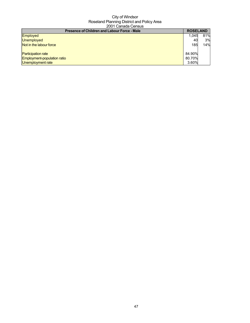| <b>Presence of Children and Labour Force - Male</b> | <b>ROSELAND</b> |     |
|-----------------------------------------------------|-----------------|-----|
| Employed                                            | 1.045           | 81% |
| Unemployed                                          | 40              | 3%  |
| Not in the labour force                             | 185             | 14% |
| <b>Participation rate</b>                           | 84.90%          |     |
| <b>Employment-population ratio</b>                  | 80.70%          |     |
| Unemployment rate                                   | 3.60%           |     |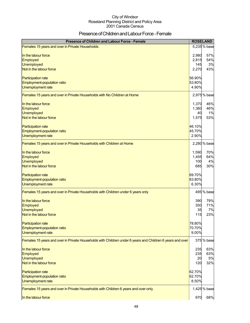### Presence of Children and Labour Force - Female

| Presence of Children and Labour Force - Female                                                            |        | <b>ROSELAND</b> |
|-----------------------------------------------------------------------------------------------------------|--------|-----------------|
| Females 15 years and over in Private Households                                                           |        | 5,235 % base    |
| In the labour force                                                                                       | 2,980  | 57%             |
| Employed                                                                                                  | 2,815  | 54%             |
| Unemployed                                                                                                | 145    | 3%              |
| Not in the labour force                                                                                   | 2,270  | 43%             |
| <b>Participation rate</b>                                                                                 | 56.90% |                 |
| Employment-population ratio                                                                               | 53.80% |                 |
| Unemployment rate                                                                                         | 4.90%  |                 |
| Females 15 years and over in Private Households with No Children at Home                                  |        | 2,975 % base    |
| In the labour force                                                                                       | 1,370  | 46%             |
| Employed                                                                                                  | 1,360  | 46%             |
| <b>Unemployed</b>                                                                                         | 40     | 1%              |
| Not in the labour force                                                                                   | 1,575  | 53%             |
| <b>Participation rate</b>                                                                                 | 46.10% |                 |
| Employment-population ratio                                                                               | 45.70% |                 |
| Unemployment rate                                                                                         | 2.90%  |                 |
| Females 15 years and over in Private Households with Children at Home                                     |        | 2,280 % base    |
| In the labour force                                                                                       | 1,590  | 70%             |
| Employed                                                                                                  | 1,455  | 64%             |
| <b>Unemployed</b>                                                                                         | 100    | 4%              |
| Not in the labour force                                                                                   | 685    | 30%             |
| <b>Participation rate</b>                                                                                 | 69.70% |                 |
| Employment-population ratio                                                                               | 63.80% |                 |
| Unemployment rate                                                                                         | 6.30%  |                 |
| Females 15 years and over in Private Households with Children under 6 years only                          |        | 495 % base      |
| In the labour force                                                                                       | 390    | 79%             |
| Employed                                                                                                  | 350    | 71%             |
| Unemployed                                                                                                | 35     | 7%              |
| Not in the labour force                                                                                   | 115    | 23%             |
| <b>Participation rate</b>                                                                                 | 78.80% |                 |
| Employment-population ratio                                                                               | 70.70% |                 |
| Unemployment rate                                                                                         | 9.00%  |                 |
| Females 15 years and over in Private Households with Children under 6 years and Children 6 years and over |        | 375 % base      |
| In the labour force                                                                                       | 235    | 63%             |
| Employed                                                                                                  | 235    | 63%             |
| Unemployed                                                                                                | 20     | 5%              |
| Not in the labour force                                                                                   | 120    | 32%             |
| <b>Participation rate</b>                                                                                 | 62.70% |                 |
| Employment-population ratio                                                                               | 62.70% |                 |
| Unemployment rate                                                                                         | 8.50%  |                 |
| Females 15 years and over in Private Households with Children 6 years and over only                       |        | 1,425 % base    |
| In the labour force                                                                                       | 970    | 68%             |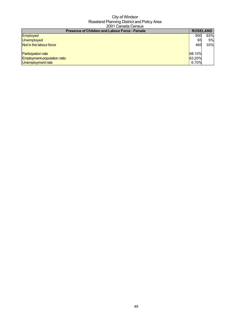| <b>Presence of Children and Labour Force - Female</b> |        | <b>ROSELAND</b> |
|-------------------------------------------------------|--------|-----------------|
| <b>Employed</b>                                       | 900    | 63%             |
| <b>Unemployed</b>                                     | 65     | 5%              |
| Not in the labour force                               | 465    | 33%             |
| <b>Participation rate</b>                             | 68.10% |                 |
| Employment-population ratio                           | 63.20% |                 |
| Unemployment rate                                     | 6.70%  |                 |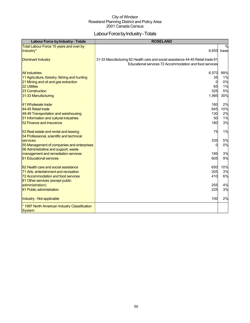### Labour Force by Industry - Totals

| <b>Labour Force by Industry - Totals</b>                                                                                                                                        | <b>ROSELAND</b>                                                                                                                           |                                    |
|---------------------------------------------------------------------------------------------------------------------------------------------------------------------------------|-------------------------------------------------------------------------------------------------------------------------------------------|------------------------------------|
| Total Labour Force 15 years and over by                                                                                                                                         |                                                                                                                                           | $\%$                               |
| Industry*                                                                                                                                                                       | 6,655                                                                                                                                     | base                               |
| <b>Dominant Industry</b>                                                                                                                                                        | 31-33 Manufacturing 62 Health care and social assistance 44-45 Retail trade 61<br>Educational services 72 Accommodation and food services |                                    |
| <b>All industries</b><br>11 Agriculture, forestry, fishing and hunting<br>21 Mining and oil and gas extraction<br><b>22 Utilities</b><br>23 Construction<br>31-33 Manufacturing | 6,570<br>35<br>$\Omega$<br>65<br>325<br>1,985                                                                                             | 99%<br>1%<br>0%<br>1%<br>5%<br>30% |
| 41 Wholesale trade<br>44-45 Retail trade<br>48-49 Transportation and warehousing<br>51 Information and cultural industries<br>52 Finance and insurance                          | 160<br>645<br>130<br>50<br>180                                                                                                            | 2%<br>10%<br>2%<br>1%<br>3%        |
| 53 Real estate and rental and leasing<br>54 Professional, scientific and technical                                                                                              | 75                                                                                                                                        | 1%                                 |
| services<br>55 Management of companies and enterprises<br>56 Administrative and support, waste                                                                                  | 335<br>$\Omega$                                                                                                                           | 5%<br>0%                           |
| management and remediation services<br>61 Educational services                                                                                                                  | 185<br>605                                                                                                                                | 3%<br>9%                           |
| 62 Health care and social assistance<br>71 Arts, entertainment and recreation<br>72 Accommodation and food services                                                             | 650<br>205<br>410                                                                                                                         | 10%<br>3%<br>6%                    |
| 81 Other services (except public<br>administration)<br>91 Public administration                                                                                                 | 255<br>225                                                                                                                                | 4%<br>3%                           |
| Industry - Not applicable                                                                                                                                                       | 100                                                                                                                                       | 2%                                 |
| * 1997 North American Industry Classification<br><b>System</b>                                                                                                                  |                                                                                                                                           |                                    |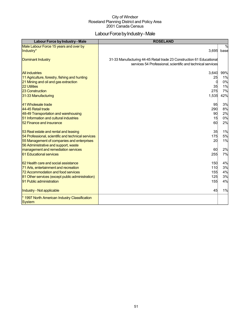### Labour Force by Industry - Male

| Labour Force by Industry - Male                                                                                                                                                                     | <b>ROSELAND</b>                                                                                                                      |                                    |
|-----------------------------------------------------------------------------------------------------------------------------------------------------------------------------------------------------|--------------------------------------------------------------------------------------------------------------------------------------|------------------------------------|
| Male Labour Force 15 years and over by<br>Industry*                                                                                                                                                 | 3,695                                                                                                                                | $\frac{0}{0}$<br>base              |
| <b>Dominant Industry</b>                                                                                                                                                                            | 31-33 Manufacturing 44-45 Retail trade 23 Construction 61 Educational<br>services 54 Professional, scientific and technical services |                                    |
| <b>All industries</b><br>11 Agriculture, forestry, fishing and hunting<br>21 Mining and oil and gas extraction<br><b>22 Utilities</b><br><b>23 Construction</b><br>31-33 Manufacturing              | 3,640<br>25<br>35<br>275<br>1,535                                                                                                    | 99%<br>1%<br>0%<br>1%<br>7%<br>42% |
| 41 Wholesale trade<br>44-45 Retail trade<br>48-49 Transportation and warehousing<br>51 Information and cultural industries<br>52 Finance and insurance                                              | 95<br>290<br>90<br>15<br>60                                                                                                          | 3%<br>8%<br>2%<br>0%<br>2%         |
| 53 Real estate and rental and leasing<br>54 Professional, scientific and technical services<br>55 Management of companies and enterprises<br>56 Administrative and support, waste                   | 35<br>175<br>20                                                                                                                      | 1%<br>5%<br>1%                     |
| management and remediation services<br>61 Educational services                                                                                                                                      | 60<br>255                                                                                                                            | 2%<br>7%                           |
| 62 Health care and social assistance<br>71 Arts, entertainment and recreation<br>72 Accommodation and food services<br>81 Other services (except public administration)<br>91 Public administration | 150<br>110<br>155<br>125<br>155                                                                                                      | 4%<br>3%<br>4%<br>3%<br>4%         |
| Industry - Not applicable                                                                                                                                                                           | 45                                                                                                                                   | 1%                                 |
| * 1997 North American Industry Classification<br><b>System</b>                                                                                                                                      |                                                                                                                                      |                                    |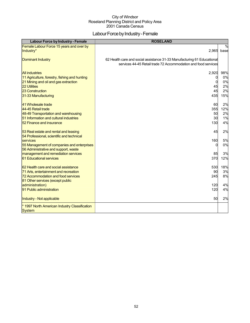### Labour Force by Industry - Female

| Labour Force by Industry - Female                                                  | <b>ROSELAND</b>                                                         |               |
|------------------------------------------------------------------------------------|-------------------------------------------------------------------------|---------------|
| Female Labour Force 15 years and over by                                           |                                                                         | $\frac{0}{0}$ |
| Industry*                                                                          | 2,965                                                                   | base          |
| <b>Dominant Industry</b>                                                           | 62 Health care and social assistance 31-33 Manufacturing 61 Educational |               |
|                                                                                    | services 44-45 Retail trade 72 Accommodation and food services          |               |
| <b>All industries</b>                                                              | 2,920                                                                   | 98%           |
| 11 Agriculture, forestry, fishing and hunting                                      | 0                                                                       | 0%            |
| 21 Mining and oil and gas extraction                                               | 0                                                                       | 0%            |
| 22 Utilities<br>23 Construction                                                    | 45<br>45                                                                | 2%<br>2%      |
| 31-33 Manufacturing                                                                | 435                                                                     | 15%           |
|                                                                                    |                                                                         |               |
| 41 Wholesale trade                                                                 | 60                                                                      | 2%            |
| 44-45 Retail trade                                                                 | 355                                                                     | 12%           |
| 48-49 Transportation and warehousing                                               | 50                                                                      | 2%            |
| 51 Information and cultural industries<br>52 Finance and insurance                 | 30<br>130                                                               | 1%<br>4%      |
|                                                                                    |                                                                         |               |
| 53 Real estate and rental and leasing                                              | 45                                                                      | 2%            |
| 54 Professional, scientific and technical                                          |                                                                         |               |
| services                                                                           | 160<br>$\Omega$                                                         | 5%<br>0%      |
| 55 Management of companies and enterprises<br>56 Administrative and support, waste |                                                                         |               |
| management and remediation services                                                | 85                                                                      | 3%            |
| 61 Educational services                                                            | 370                                                                     | 12%           |
| 62 Health care and social assistance                                               | 530                                                                     | 18%           |
| 71 Arts, entertainment and recreation                                              | 90                                                                      | 3%            |
| 72 Accommodation and food services                                                 | 245                                                                     | 8%            |
| 81 Other services (except public                                                   |                                                                         |               |
| administration)                                                                    | 120                                                                     | 4%            |
| 91 Public administration                                                           | 120                                                                     | 4%            |
| Industry - Not applicable                                                          | 50                                                                      | 2%            |
| * 1997 North American Industry Classification                                      |                                                                         |               |
| <b>System</b>                                                                      |                                                                         |               |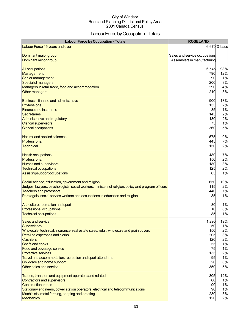### Labour Force by Occupation - Totals

| <b>Labour Force by Occupation - Totals</b>                                                         | <b>ROSELAND</b>                                              |              |
|----------------------------------------------------------------------------------------------------|--------------------------------------------------------------|--------------|
| Labour Force 15 years and over                                                                     |                                                              | 6,670 % base |
| Dominant major group<br>Dominant minor group                                                       | Sales and service occupations<br>Assemblers in manufacturing |              |
| <b>All occupations</b>                                                                             | 6,545                                                        | 98%          |
| Management                                                                                         | 790                                                          | 12%          |
| Senior management                                                                                  | 90                                                           | 1%           |
| Specialist managers                                                                                | 200                                                          | 3%           |
| Managers in retail trade, food and accommodation                                                   | 290                                                          | 4%           |
| Other managers                                                                                     | 210                                                          | 3%           |
| Business, finance and administrative                                                               | 900                                                          | 13%          |
| Professional                                                                                       | 135                                                          | 2%           |
| <b>Finance and insurance</b>                                                                       | 85                                                           | 1%           |
| <b>Secretaries</b>                                                                                 | 145                                                          | 2%           |
| Administrative and regulatory                                                                      | 130                                                          | 2%           |
| <b>Clerical supervisors</b>                                                                        | 75                                                           | 1%           |
| <b>Clerical occupations</b>                                                                        | 360                                                          | 5%           |
| Natural and applied sciences                                                                       | 575                                                          | 9%           |
| Professional                                                                                       | 445                                                          | 7%           |
| <b>Technical</b>                                                                                   | 150                                                          | 2%           |
| <b>Health occupations</b>                                                                          | 480                                                          | 7%           |
| Professional                                                                                       | 150                                                          | 2%           |
| Nurses and supervisors                                                                             | 180                                                          | 3%           |
| <b>Technical occupations</b>                                                                       | 125                                                          | 2%           |
| Assisting/support occupations                                                                      | 65                                                           | 1%           |
| Social science, education, government and religion                                                 | 650                                                          | 10%          |
| Judges, lawyers, psychologists, social workers, ministers of religion, policy and program officers | 115                                                          | 2%           |
| <b>Teachers and professors</b>                                                                     | 440                                                          | 7%           |
| Paralegals, social service workers and occupations in education and religion                       | 85                                                           | 1%           |
| Art, culture, recreation and sport                                                                 | 80                                                           | 1%           |
| <b>Professional occupations</b>                                                                    | 10                                                           | 0%           |
| <b>Technical occupations</b>                                                                       | 85                                                           | 1%           |
| Sales and service                                                                                  | 1,290                                                        | 19%          |
| <b>Supervisors</b>                                                                                 | 50                                                           | 1%           |
| Wholesale, technical, insurance, real estate sales, retail, wholesale and grain buyers             | 150                                                          | 2%           |
| <b>Retail salespersons and clerks</b>                                                              | 205                                                          | 3%           |
| <b>Cashiers</b>                                                                                    | 120                                                          | 2%           |
| <b>Chefs and cooks</b>                                                                             | 55                                                           | 1%           |
| Food and beverage service                                                                          | 75                                                           | 1%           |
| <b>Protective services</b>                                                                         | 135                                                          | 2%           |
| Travel and accommodation, recreation and sport attendants                                          | 95                                                           | 1%           |
| Childcare and home support                                                                         | 20                                                           | 0%           |
| Other sales and service                                                                            | 350                                                          | 5%           |
| Trades, transport and equipment operators and related                                              | 805                                                          | 12%          |
| Contractors and supervisors                                                                        | 60                                                           | 1%           |
| <b>Construction trades</b>                                                                         | 90                                                           | 1%           |
| Stationary engineers, power station operators, electrical and telecommunications                   | 90                                                           | 1%           |
| Machinists, metal forming, shaping and erecting                                                    | 230                                                          | 3%           |
| <b>Mechanics</b>                                                                                   | 120                                                          | 2%           |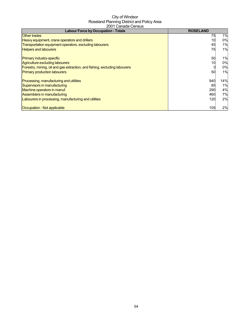| <b>Labour Force by Occupation - Totals</b>                                 | <b>ROSELAND</b> |       |
|----------------------------------------------------------------------------|-----------------|-------|
| <b>Other trades</b>                                                        | 75              | 1%    |
| Heavy equipment, crane operators and drillers                              | 10              | 0%    |
| Transportation equipment operators, excluding labourers                    | 45              | $1\%$ |
| <b>Helpers and labourers</b>                                               | 75              | 1%    |
| <b>Primary industry-specific</b>                                           | 50              | 1%    |
| Agriculture excluding labourers                                            | 10              | 0%    |
| Forestry, mining, oil and gas extraction, and fishing, excluding labourers |                 | 0%    |
| <b>Primary production labourers</b>                                        | 50              | 1%    |
| Processing, manufacturing and utilities                                    | 940             | 14%   |
| Supervisors in manufacturing                                               | 85              | 1%    |
| Machine operators in manuf.                                                | 290             | 4%    |
| Assemblers in manufacturing                                                | 460             | 7%    |
| Labourers in processing, manufacturing and utilities                       | 120             | 2%    |
| Occupation - Not applicable                                                | 105             | 2%    |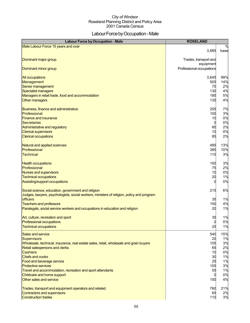### Labour Force by Occupation - Male

| <b>Labour Force by Occupation - Male</b>                                                                                                                                                                                                                                                                                                                                                          | <b>ROSELAND</b>                                              |                                                                 |
|---------------------------------------------------------------------------------------------------------------------------------------------------------------------------------------------------------------------------------------------------------------------------------------------------------------------------------------------------------------------------------------------------|--------------------------------------------------------------|-----------------------------------------------------------------|
| Male Labour Force 15 years and over                                                                                                                                                                                                                                                                                                                                                               | 3,685                                                        | $\%$<br>base                                                    |
| Dominant major group                                                                                                                                                                                                                                                                                                                                                                              | Trades, transport and<br>equipment                           |                                                                 |
| Dominant minor group                                                                                                                                                                                                                                                                                                                                                                              | Professional occupations                                     |                                                                 |
| <b>All occupations</b>                                                                                                                                                                                                                                                                                                                                                                            | 3,645                                                        | 99%                                                             |
| Management                                                                                                                                                                                                                                                                                                                                                                                        | 505                                                          | 14%                                                             |
| Senior management                                                                                                                                                                                                                                                                                                                                                                                 | 70                                                           | 2%                                                              |
| Specialist managers                                                                                                                                                                                                                                                                                                                                                                               | 130                                                          | 4%                                                              |
| Managers in retail trade, food and accommodation                                                                                                                                                                                                                                                                                                                                                  | 185                                                          | 5%                                                              |
| <b>Other managers</b>                                                                                                                                                                                                                                                                                                                                                                             | 135                                                          | 4%                                                              |
| Business, finance and administrative                                                                                                                                                                                                                                                                                                                                                              | 255                                                          | 7%                                                              |
| Professional                                                                                                                                                                                                                                                                                                                                                                                      | 100                                                          | 3%                                                              |
| <b>Finance and insurance</b>                                                                                                                                                                                                                                                                                                                                                                      | 10                                                           | 0%                                                              |
| Secretaries                                                                                                                                                                                                                                                                                                                                                                                       | $\mathbf 0$                                                  | 0%                                                              |
| Administrative and regulatory                                                                                                                                                                                                                                                                                                                                                                     | 60                                                           | 2%                                                              |
| <b>Clerical supervisors</b>                                                                                                                                                                                                                                                                                                                                                                       | 10                                                           | 0%                                                              |
| <b>Clerical occupations</b>                                                                                                                                                                                                                                                                                                                                                                       | 85                                                           | 2%                                                              |
| Natural and applied sciences                                                                                                                                                                                                                                                                                                                                                                      | 495                                                          | 13%                                                             |
| Professional                                                                                                                                                                                                                                                                                                                                                                                      | 385                                                          | 10%                                                             |
| <b>Technical</b>                                                                                                                                                                                                                                                                                                                                                                                  | 110                                                          | 3%                                                              |
| <b>Health occupations</b>                                                                                                                                                                                                                                                                                                                                                                         | 100                                                          | 3%                                                              |
| Professional                                                                                                                                                                                                                                                                                                                                                                                      | 75                                                           | 2%                                                              |
| Nurses and supervisors                                                                                                                                                                                                                                                                                                                                                                            | 10                                                           | 0%                                                              |
| <b>Technical occupations</b>                                                                                                                                                                                                                                                                                                                                                                      | 20                                                           | 1%                                                              |
| Assisting/support occupations                                                                                                                                                                                                                                                                                                                                                                     | O                                                            | 0%                                                              |
| Social science, education, government and religion<br>Judges, lawyers, psychologists, social workers, ministers of religion, policy and program<br><b>officers</b><br>Teachers and professors<br>Paralegals, social service workers and occupations in education and religion                                                                                                                     | 215<br>35<br>150<br>20                                       | 6%<br>1%<br>4%<br>1%                                            |
| Art, culture, recreation and sport                                                                                                                                                                                                                                                                                                                                                                | 35                                                           | 1%                                                              |
| <b>Professional occupations</b>                                                                                                                                                                                                                                                                                                                                                                   | U                                                            | 0%                                                              |
| <b>Technical occupations</b>                                                                                                                                                                                                                                                                                                                                                                      | 25                                                           | 1%                                                              |
| Sales and service<br><b>Supervisors</b><br>Wholesale, technical, insurance, real estate sales, retail, wholesale and grain buyers<br>Retail salespersons and clerks<br><b>Cashiers</b><br><b>Chefs and cooks</b><br>Food and beverage service<br><b>Protective services</b><br>Travel and accommodation, recreation and sport attendants<br>Childcare and home support<br>Other sales and service | 540<br>20<br>105<br>65<br>10<br>30<br>25<br>105<br>55<br>150 | 15%<br>1%<br>3%<br>2%<br>0%<br>1%<br>1%<br>3%<br>1%<br>0%<br>4% |
| Trades, transport and equipment operators and related                                                                                                                                                                                                                                                                                                                                             | 760                                                          | 21%                                                             |
| Contractors and supervisors                                                                                                                                                                                                                                                                                                                                                                       | 65                                                           | 2%                                                              |
| <b>Construction trades</b>                                                                                                                                                                                                                                                                                                                                                                        | 110                                                          | 3%                                                              |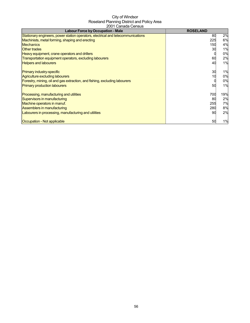| <b>Labour Force by Occupation - Male</b>                                         | <b>ROSELAND</b> |     |
|----------------------------------------------------------------------------------|-----------------|-----|
| Stationary engineers, power station operators, electrical and telecommunications | 80              | 2%  |
| Machinists, metal forming, shaping and erecting                                  | 225             | 6%  |
| <b>Mechanics</b>                                                                 | 150             | 4%  |
| <b>Other trades</b>                                                              | 30              | 1%  |
| Heavy equipment, crane operators and drillers                                    |                 | 0%  |
| Transportation equipment operators, excluding labourers                          | 60              | 2%  |
| <b>Helpers and labourers</b>                                                     | 40              | 1%  |
| <b>Primary industry-specific</b>                                                 | 30              | 1%  |
| Agriculture excluding labourers                                                  | 10              | 0%  |
| Forestry, mining, oil and gas extraction, and fishing, excluding labourers       |                 | 0%  |
| <b>Primary production labourers</b>                                              | 50              | 1%  |
| Processing, manufacturing and utilities                                          | 700             | 19% |
| Supervisors in manufacturing                                                     | 80              | 2%  |
| Machine operators in manuf.                                                      | 255             | 7%  |
| Assemblers in manufacturing                                                      | 280             | 8%  |
| Labourers in processing, manufacturing and utilities                             | 90              | 2%  |
| Occupation - Not applicable                                                      | 50              | 1%  |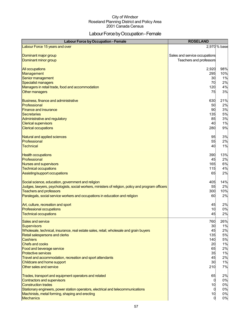### Labour Force by Occupation - Female

| <b>Labour Force by Occupation - Female</b>                                                                                                               | <b>ROSELAND</b>               |              |
|----------------------------------------------------------------------------------------------------------------------------------------------------------|-------------------------------|--------------|
| Labour Force 15 years and over                                                                                                                           |                               | 2,970 % base |
| Dominant major group                                                                                                                                     | Sales and service occupations |              |
| Dominant minor group                                                                                                                                     | Teachers and professors       |              |
|                                                                                                                                                          |                               |              |
| <b>All occupations</b>                                                                                                                                   | 2,920                         | 98%          |
| Management                                                                                                                                               | 295                           | 10%          |
| Senior management                                                                                                                                        | 30                            | 1%           |
| Specialist managers                                                                                                                                      | 70                            | 2%           |
| Managers in retail trade, food and accommodation<br>Other managers                                                                                       | 120<br>75                     | 4%<br>3%     |
|                                                                                                                                                          |                               |              |
| Business, finance and administrative                                                                                                                     | 630                           | 21%          |
| Professional                                                                                                                                             | 50                            | 2%           |
| <b>Finance and insurance</b>                                                                                                                             | 90                            | 3%           |
| <b>Secretaries</b>                                                                                                                                       | 135                           | 5%           |
| Administrative and regulatory<br><b>Clerical supervisors</b>                                                                                             | 85<br>40                      | 3%<br>1%     |
| <b>Clerical occupations</b>                                                                                                                              | 280                           | 9%           |
|                                                                                                                                                          |                               |              |
| Natural and applied sciences                                                                                                                             | 95                            | 3%           |
| Professional                                                                                                                                             | 55                            | 2%           |
| <b>Technical</b>                                                                                                                                         | 40                            | 1%           |
|                                                                                                                                                          |                               |              |
| <b>Health occupations</b><br>Professional                                                                                                                | 390<br>45                     | 13%<br>2%    |
| <b>Nurses and supervisors</b>                                                                                                                            | 165                           | 6%           |
| <b>Technical occupations</b>                                                                                                                             | 115                           | 4%           |
| Assisting/support occupations                                                                                                                            | 65                            | 2%           |
|                                                                                                                                                          |                               |              |
| Social science, education, government and religion<br>Judges, lawyers, psychologists, social workers, ministers of religion, policy and program officers | 405<br>55                     | 14%<br>2%    |
| <b>Teachers and professors</b>                                                                                                                           | 300                           | 10%          |
| Paralegals, social service workers and occupations in education and religion                                                                             | 60                            | 2%           |
|                                                                                                                                                          |                               |              |
| Art, culture, recreation and sport                                                                                                                       | 45                            | 2%           |
| <b>Professional occupations</b>                                                                                                                          | 10                            | 0%           |
| <b>Technical occupations</b>                                                                                                                             | 45                            | 2%           |
| Sales and service                                                                                                                                        | 760                           | 26%          |
| <b>Supervisors</b>                                                                                                                                       | 30                            | 1%           |
| Wholesale, technical, insurance, real estate sales, retail, wholesale and grain buyers                                                                   | 45<br>135                     | 2%           |
| <b>Retail salespersons and clerks</b><br><b>Cashiers</b>                                                                                                 | 140                           | 5%<br>5%     |
| <b>Chefs and cooks</b>                                                                                                                                   | 20                            | 1%           |
| Food and beverage service                                                                                                                                | 65                            | 2%           |
| <b>Protective services</b>                                                                                                                               | 35                            | 1%           |
| Travel and accommodation, recreation and sport attendants                                                                                                | 45                            | 2%           |
| Childcare and home support                                                                                                                               | 30                            | 1%           |
| Other sales and service                                                                                                                                  | 210                           | 7%           |
| Trades, transport and equipment operators and related                                                                                                    | 65                            | 2%           |
| Contractors and supervisors                                                                                                                              |                               | 0%           |
| <b>Construction trades</b>                                                                                                                               | 10                            | 0%           |
| Stationary engineers, power station operators, electrical and telecommunications                                                                         |                               | 0%           |
| Machinists, metal forming, shaping and erecting<br><b>Mechanics</b>                                                                                      | 10                            | 0%<br>0%     |
|                                                                                                                                                          |                               |              |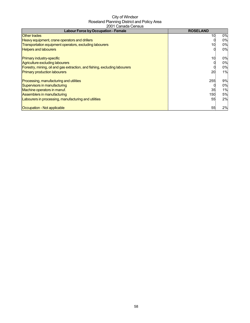| <b>Labour Force by Occupation - Female</b>                                        | <b>ROSELAND</b> |    |
|-----------------------------------------------------------------------------------|-----------------|----|
| <b>Other trades</b>                                                               | 10              | 0% |
| Heavy equipment, crane operators and drillers                                     |                 | 0% |
| Transportation equipment operators, excluding labourers                           | 10              | 0% |
| <b>Helpers and labourers</b>                                                      |                 | 0% |
| <b>Primary industry-specific</b>                                                  | 10              | 0% |
| Agriculture excluding labourers                                                   |                 | 0% |
| <b>Forestry, mining, oil and gas extraction, and fishing, excluding labourers</b> |                 | 0% |
| <b>Primary production labourers</b>                                               | 20              | 1% |
| Processing, manufacturing and utilities                                           | 255             | 9% |
| Supervisors in manufacturing                                                      |                 | 0% |
| Machine operators in manuf.                                                       | 35              | 1% |
| Assemblers in manufacturing                                                       | 150             | 5% |
| Labourers in processing, manufacturing and utilities                              | 55              | 2% |
| Occupation - Not applicable                                                       | 55              | 2% |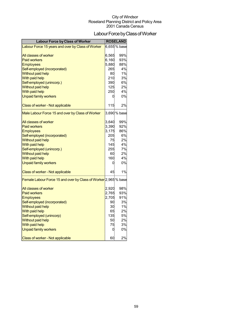### Labour Force by Class of Worker

| Labour Force by Class of Worker                                 |       | <b>ROSELAND</b> |
|-----------------------------------------------------------------|-------|-----------------|
| Labour Force 15 years and over by Class of Worker               |       | 6,655 % base    |
|                                                                 |       |                 |
| All classes of worker                                           | 6,565 | 99%             |
| <b>Paid workers</b>                                             | 6,160 | 93%             |
| <b>Employees</b>                                                | 5,880 | 88%             |
| Self-employed (incorporated)                                    | 265   | 4%              |
| Without paid help                                               | 80    | 1%              |
| With paid help                                                  | 210   | 3%              |
| Self-employed (unincorp.)                                       | 390   | 6%              |
| <b>Without paid help</b>                                        | 125   | 2%              |
| With paid help                                                  | 250   | 4%              |
| <b>Unpaid family workers</b>                                    | 0     | 0%              |
| Class of worker - Not applicable                                | 115   | 2%              |
| Male Labour Force 15 and over by Class of Worker                |       | 3,690 % base    |
| All classes of worker                                           | 3,640 | 99%             |
| <b>Paid workers</b>                                             | 3,390 | 92%             |
| <b>Employees</b>                                                | 3,175 | 86%             |
| Self-employed (incorporated)                                    | 205   | 6%              |
| Without paid help                                               | 75    | 2%              |
| With paid help                                                  | 145   | 4%              |
| Self-employed (unincorp.)                                       | 255   | 7%              |
| <b>Without paid help</b>                                        | 60    | 2%              |
| With paid help                                                  | 160   | 4%              |
| <b>Unpaid family workers</b>                                    | 0     | 0%              |
| Class of worker - Not applicable                                | 45    | 1%              |
| Female Labour Force 15 and over by Class of Worker 2,965 % base |       |                 |
| All classes of worker                                           | 2,920 | 98%             |
| <b>Paid workers</b>                                             | 2,765 | 93%             |
| <b>Employees</b>                                                | 2,705 | 91%             |
| Self-employed (incorporated)                                    | 90    | 3%              |
| <b>Without paid help</b>                                        | 30    | 1%              |
| With paid help                                                  | 65    | 2%              |
| Self-employed (unincorp)                                        | 135   | 5%              |
| <b>Without paid help</b>                                        | 50    | 2%              |
| With paid help                                                  | 75    | 3%              |
| <b>Unpaid family workers</b>                                    | 0     | 0%              |
| <b>Class of worker - Not applicable</b>                         | 60    | 2%              |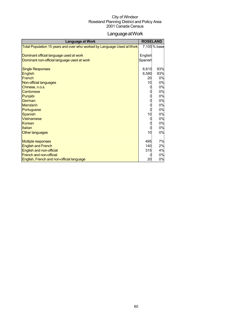### LanguageatWork

| <b>Language at Work</b>                                                |          | <b>ROSELAND</b> |
|------------------------------------------------------------------------|----------|-----------------|
| Total Population 15 years and over who worked by Language Used at Work |          | 7,105% base     |
|                                                                        |          |                 |
| Dominant official language used at work                                | English  |                 |
| Dominant non-official language used at work                            | Spanish  |                 |
|                                                                        |          |                 |
| <b>Single Responses</b>                                                | 6,610    | 93%<br>93%      |
| <b>English</b><br>French                                               | 6,580    |                 |
|                                                                        | 20<br>10 | 0%<br>0%        |
| Non-official languages                                                 |          | 0%              |
| Chinese, n.o.s.<br>Cantonese                                           |          | 0%              |
| Punjabi                                                                |          | 0%              |
| German                                                                 |          | 0%              |
| <b>Mandarin</b>                                                        |          | 0%              |
| Portuguese                                                             |          | 0%              |
| <b>Spanish</b>                                                         | 10       | 0%              |
| <b>Vietnamese</b>                                                      |          | 0%              |
| Korean                                                                 |          | 0%              |
| Italian                                                                |          | 0%              |
| Other languages                                                        | 10       | 0%              |
|                                                                        |          |                 |
| <b>Multiple responses</b>                                              | 495      | 7%              |
| <b>English and French</b>                                              | 140      | 2%              |
| English and non-official                                               | 315      | 4%              |
| <b>French and non-official</b>                                         |          | 0%              |
| English, French and non-official language                              | 20       | 0%              |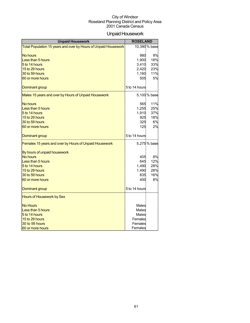### Unpaid Housework

| <b>Unpaid Housework</b>                                         | <b>ROSELAND</b> |               |
|-----------------------------------------------------------------|-----------------|---------------|
| Total Population 15 years and over by Hours of Unpaid Housework |                 | 10,390 % base |
|                                                                 |                 |               |
| No hours                                                        | 980             | 9%            |
| Less than 5 hours                                               | 1,900           | 18%           |
| 5 to 14 hours                                                   | 3,410           | 33%           |
| 15 to 29 hours                                                  | 2,420           | 23%           |
| 30 to 59 hours                                                  | 1,160           | 11%           |
| 60 or more hours                                                | 505             | 5%            |
| Dominant group                                                  | 5 to 14 hours   |               |
| Males 15 years and over by Hours of Unpaid Housework            |                 | 5,100% base   |
| <b>No hours</b>                                                 | 565             | 11%           |
| Less than 5 hours                                               | 1,255           | 25%           |
| 5 to 14 hours                                                   | 1,910           | 37%           |
| 15 to 29 hours                                                  | 925             | 18%           |
| 30 to 59 hours                                                  | 325             | 6%            |
| 60 or more hours                                                | 125             | 2%            |
|                                                                 |                 |               |
| Dominant group                                                  | 5 to 14 hours   |               |
| Females 15 years and over by Hours of Unpaid Housework          |                 | 5,275% base   |
| By hours of unpaid housework                                    |                 |               |
| <b>No hours</b>                                                 | 405             | 8%            |
| Less than 5 hours                                               | 645             | 12%           |
| 5 to 14 hours                                                   | 1,490           | 28%           |
| 15 to 29 hours                                                  | 1,490           | 28%           |
| 30 to 59 hours                                                  | 835             | 16%           |
| 60 or more hours                                                | 400             | 8%            |
| Dominant group                                                  | 5 to 14 hours   |               |
| Hours of Housework by Sex                                       |                 |               |
| <b>No Hours</b>                                                 | Males           |               |
| Less than 5 hours                                               | Males           |               |
| 5 to 14 hours                                                   | Males           |               |
| 15 to 29 hours                                                  | Females         |               |
| 30 to 59 hours                                                  | Females         |               |
| 60 or more hours                                                | Females         |               |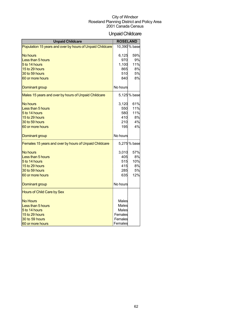### UnpaidChildcare

| <b>Unpaid Childcare</b>                                   | <b>ROSELAND</b> |               |
|-----------------------------------------------------------|-----------------|---------------|
| Population 15 years and over by hours of Unpaid Childcare |                 | 10,390 % base |
|                                                           |                 |               |
| No hours                                                  | 6,125           | 59%           |
| Less than 5 hours                                         | 970             | 9%            |
| 5 to 14 hours                                             | 1,100           | 11%           |
| 15 to 29 hours                                            | 865             | 8%            |
| 30 to 59 hours                                            | 510             | 5%            |
| 60 or more hours                                          | 840             | 8%            |
| Dominant group                                            | No hours        |               |
| Males 15 years and over by hours of Unpaid Childcare      |                 | 5,125% base   |
| No hours                                                  | 3,120           | 61%           |
| Less than 5 hours                                         | 550             | 11%           |
| 5 to 14 hours                                             | 580             | 11%           |
| 15 to 29 hours                                            | 410             | 8%            |
| 30 to 59 hours                                            | 210             | 4%            |
| 60 or more hours                                          | 195             | 4%            |
| Dominant group                                            | No hours        |               |
| Females 15 years and over by hours of Unpaid Childcare    |                 | 5,275% base   |
| No hours                                                  | 3,010           | 57%           |
| Less than 5 hours                                         | 405             | 8%            |
| 5 to 14 hours                                             | 515             | 10%           |
| 15 to 29 hours                                            | 415             | 8%            |
| 30 to 59 hours                                            | 285             | 5%            |
| 60 or more hours                                          | 635             | 12%           |
| Dominant group                                            | No hours        |               |
| Hours of Child Care by Sex                                |                 |               |
| <b>No Hours</b>                                           | Males           |               |
| Less than 5 hours                                         | Males           |               |
| 5 to 14 hours                                             | Males           |               |
| 15 to 29 hours                                            | Females         |               |
| 30 to 59 hours                                            | Females         |               |
| 60 or more hours                                          | Females         |               |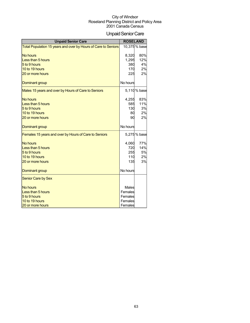### Unpaid Senior Care

| <b>Unpaid Senior Care</b>                                      | <b>ROSELAND</b> |               |
|----------------------------------------------------------------|-----------------|---------------|
| Total Population 15 years and over by Hours of Care to Seniors |                 | 10,375 % base |
| <b>No hours</b>                                                | 8,320           | 80%           |
| Less than 5 hours                                              | 1,295           | 12%           |
| 5 to 9 hours                                                   | 380             | 4%            |
| 10 to 19 hours                                                 | 170             | 2%            |
| 20 or more hours                                               | 225             | 2%            |
|                                                                |                 |               |
| <b>Dominant group</b>                                          | No hours        |               |
| Males 15 years and over by Hours of Care to Seniors            |                 | 5,110 % base  |
| <b>No hours</b>                                                | 4,255           | 83%           |
| Less than 5 hours                                              | 585             | 11%           |
| 5 to 9 hours                                                   | 130             | 3%            |
| 10 to 19 hours                                                 | 80              | 2%            |
| 20 or more hours                                               | 90              | 2%            |
| Dominant group                                                 | No hours        |               |
| Females 15 years and over by Hours of Care to Seniors          |                 | 5,275 % base  |
| <b>No hours</b>                                                | 4,060           | 77%           |
| Less than 5 hours                                              | 720             | 14%           |
| 5 to 9 hours                                                   | 255             | 5%            |
| 10 to 19 hours                                                 | 110             | 2%            |
| 20 or more hours                                               | 135             | 3%            |
| Dominant group                                                 | No hours        |               |
| <b>Senior Care by Sex</b>                                      |                 |               |
| <b>No hours</b>                                                | Males           |               |
| Less than 5 hours                                              | Females         |               |
| 5 to 9 hours                                                   | Females         |               |
| 10 to 19 hours                                                 | Females         |               |
| 20 or more hours                                               | Females         |               |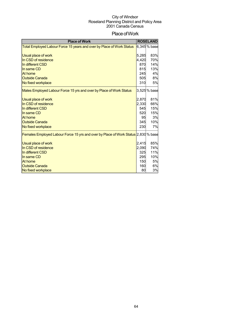### Place of Work

| <b>Place of Work</b>                                                               |       | <b>ROSELAND</b> |
|------------------------------------------------------------------------------------|-------|-----------------|
| Total Employed Labour Force 15 years and over by Place of Work Status              |       | 6,345 % base    |
|                                                                                    |       |                 |
| <b>Usual place of work</b>                                                         | 5,285 | 83%             |
| In CSD of residence                                                                | 4,420 | 70%             |
| In different CSD                                                                   | 870   | 14%             |
| In same CD                                                                         | 815   | 13%             |
| At home                                                                            | 245   | 4%              |
| <b>Outside Canada</b>                                                              | 505   | 8%              |
| No fixed workplace                                                                 | 310   | 5%              |
| Males Employed Labour Force 15 yrs and over by Place of Work Status                |       | 3,525 % base    |
|                                                                                    |       |                 |
| Usual place of work                                                                | 2,870 | 81%             |
| In CSD of residence                                                                | 2,330 | 66%             |
| In different CSD                                                                   | 545   | 15%             |
| In same CD                                                                         | 520   | 15%             |
| At home                                                                            | 95    | 3%              |
| <b>Outside Canada</b>                                                              | 345   | 10%             |
| No fixed workplace                                                                 | 230   | 7%              |
| Females Employed Labour Force 15 yrs and over by Place of Work Status 2,830 % base |       |                 |
|                                                                                    |       |                 |
| <b>Usual place of work</b>                                                         | 2,415 | 85%             |
| In CSD of residence                                                                | 2,090 | 74%             |
| In different CSD                                                                   | 325   | 11%             |
| In same CD                                                                         | 295   | 10%             |
| At home                                                                            | 150   | 5%              |
| <b>Outside Canada</b>                                                              | 160   | 6%<br>3%        |
| No fixed workplace                                                                 | 80    |                 |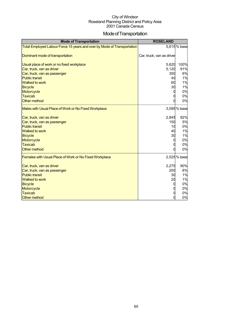### Mode of Transportation

| <b>Mode of Transportation</b>                                           | <b>ROSELAND</b>           |             |
|-------------------------------------------------------------------------|---------------------------|-------------|
| Total Employed Labour Force 15 years and over by Mode of Transportation |                           | 5,615% base |
| Dominant mode of transportation                                         | Car, truck, van as driver |             |
| Usual place of work or no fixed workplace                               | 5,620                     | 100%        |
| Car, truck, van as driver                                               | 5,120                     | 91%         |
| Car, truck, van as passenger                                            | 350                       | 6%          |
| <b>Public transit</b>                                                   | 40                        | 1%          |
| <b>Walked to work</b>                                                   | 60                        | 1%          |
| <b>Bicycle</b>                                                          | 30                        | 1%          |
| Motorcycle                                                              |                           | 0%          |
| <b>Taxicab</b>                                                          |                           | 0%          |
| Other method                                                            |                           | 0%          |
| Males with Usual Place of Work or No Fixed Workplace                    |                           | 3,095% base |
| Car, truck, van as driver                                               | 2,845                     | 92%         |
| Car, truck, van as passenger                                            | 150                       | 5%          |
| <b>Public transit</b>                                                   | 10                        | 0%          |
| <b>Walked to work</b>                                                   | 40                        | 1%          |
| <b>Bicycle</b>                                                          | 30                        | 1%          |
| Motorcycle                                                              | 0                         | 0%          |
| <b>Taxicab</b>                                                          |                           | 0%          |
| Other method                                                            |                           | 0%          |
| Females with Usual Place of Work or No Fixed Workplace                  |                           | 2,525% base |
| Car, truck, van as driver                                               | 2,275                     | 90%         |
| Car, truck, van as passenger                                            | 200                       | 8%          |
| <b>Public transit</b>                                                   | 30                        | 1%          |
| <b>Walked to work</b>                                                   | 20                        | 1%          |
| <b>Bicycle</b>                                                          | 0                         | 0%          |
| Motorcycle                                                              |                           | 0%          |
| <b>Taxicab</b>                                                          |                           | 0%          |
| <b>Other method</b>                                                     |                           | 0%          |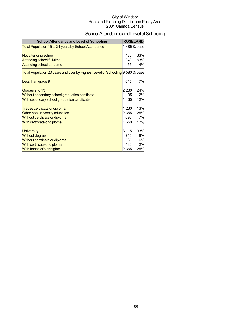# School Attendance and Level of Schooling

| <b>School Attendance and Level of Schooling</b>                               |            | <b>ROSELAND</b> |
|-------------------------------------------------------------------------------|------------|-----------------|
| Total Population 15 to 24 years by School Attendance                          |            | 1,485% base     |
| Not attending school<br>Attending school full-time                            | 485<br>940 | 33%<br>63%      |
| Attending school part-time                                                    | 55         | 4%              |
| Total Population 20 years and over by Highest Level of Schooling 9,580 % base |            |                 |
| Less than grade 9                                                             | 645        | 7%              |
| Grades 9 to 13                                                                | 2,280      | 24%             |
| Without secondary school graduation certificate                               | 1,135      | 12%             |
| With secondary school graduation certificate                                  | 1,135      | 12%             |
| Trades certificate or diploma                                                 | 1,230      | 13%             |
| Other non-university education                                                | 2,355      | 25%             |
| Without certificate or diploma                                                | 695        | 7%              |
| With certificate or diploma                                                   | 1,650      | 17%             |
| <b>University</b>                                                             | 3,115      | 33%             |
| <b>Without degree</b>                                                         | 745        | 8%              |
| Without certificate or diploma                                                | 565        | 6%              |
| With certificate or diploma                                                   | 180        | 2%              |
| <b>With bachelor's or higher</b>                                              | 2,365      | 25%             |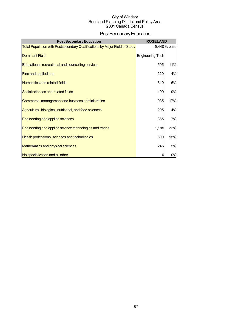# Post Secondary Education

| <b>Post Secondary Education</b>                                                   | <b>ROSELAND</b>         |              |
|-----------------------------------------------------------------------------------|-------------------------|--------------|
| <b>Total Population with Postsecondary Qualifications by Major Field of Study</b> |                         | 5,440 % base |
| <b>Dominant Field</b>                                                             | <b>Engineering Tech</b> |              |
| Educational, recreational and counselling services                                | 595                     | 11%          |
| Fine and applied arts                                                             | 220                     | 4%           |
| <b>Humanities and related fields</b>                                              | 310                     | 6%           |
| Social sciences and related fields                                                | 490                     | 9%           |
| Commerce, management and business administration                                  | 935                     | 17%          |
| Agricultural, biological, nutritional, and food sciences                          | 205                     | 4%           |
| <b>Engineering and applied sciences</b>                                           | 385                     | 7%           |
| Engineering and applied science technologies and trades                           | 1,195                   | 22%          |
| Health professions, sciences and technologies                                     | 800                     | 15%          |
| Mathematics and physical sciences                                                 | 245                     | 5%           |
| No specialization and all other                                                   |                         | 0%           |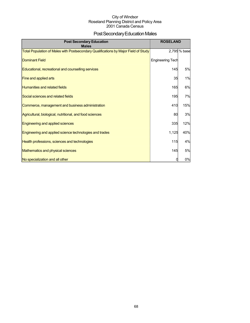### Post Secondary Education Males

| <b>Post Secondary Education</b><br><b>Males</b>                                     | <b>ROSELAND</b>         |              |
|-------------------------------------------------------------------------------------|-------------------------|--------------|
| Total Population of Males with Postsecondary Qualifications by Major Field of Study |                         | 2,795 % base |
| <b>Dominant Field</b>                                                               | <b>Engineering Tech</b> |              |
| Educational, recreational and counselling services                                  | 145                     | 5%           |
| Fine and applied arts                                                               | 35                      | 1%           |
| <b>Humanities and related fields</b>                                                | 165                     | 6%           |
| Social sciences and related fields                                                  | 195                     | 7%           |
| Commerce, management and business administration                                    | 410                     | 15%          |
| Agricultural, biological, nutritional, and food sciences                            | 80                      | 3%           |
| Engineering and applied sciences                                                    | 335                     | 12%          |
| Engineering and applied science technologies and trades                             | 1,125                   | 40%          |
| Health professions, sciences and technologies                                       | 115                     | 4%           |
| <b>Mathematics and physical sciences</b>                                            | 145                     | 5%           |
| No specialization and all other                                                     |                         | 0%           |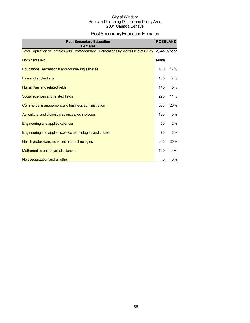### Post Secondary Education Females

| <b>Post Secondary Education</b><br><b>Females</b>                                     |        | <b>ROSELAND</b> |
|---------------------------------------------------------------------------------------|--------|-----------------|
| Total Population of Females with Postsecondary Qualifications by Major Field of Study |        | 2,645 % base    |
| <b>Dominant Field</b>                                                                 | Health |                 |
| Educational, recreational and counselling services                                    | 450    | 17%             |
| Fine and applied arts                                                                 | 185    | 7%              |
| Humanities and related fields                                                         | 145    | 5%              |
| Social sciences and related fields                                                    | 295    | 11%             |
| Commerce, management and business administration                                      | 525    | 20%             |
| Agricultural and biological sciences/technologies                                     | 125    | 5%              |
| Engineering and applied sciences                                                      | 50     | 2%              |
| Engineering and applied science technologies and trades                               | 70     | 3%              |
| Health professions, sciences and technologies                                         | 685    | 26%             |
| Mathematics and physical sciences                                                     | 100    | 4%              |
| No specialization and all other                                                       |        | 0%              |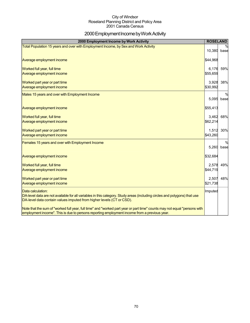### 2000 Employment Income by Work Activity

| 2000 Employment Income by Work Activity                                                                                                                                                                                   | <b>ROSELAND</b>   |                       |
|---------------------------------------------------------------------------------------------------------------------------------------------------------------------------------------------------------------------------|-------------------|-----------------------|
| Total Population 15 years and over with Employment Income, by Sex and Work Activity                                                                                                                                       | 10,380            | base                  |
| Average employment income                                                                                                                                                                                                 | \$44,968          |                       |
| Worked full year, full time<br>Average employment income                                                                                                                                                                  | 6,176<br>\$55,659 | 59%                   |
| Worked part year or part time<br>Average employment income                                                                                                                                                                | 3,928<br>\$30,992 | 38%                   |
| Males 15 years and over with Employment Income                                                                                                                                                                            | 5,095             | $\frac{0}{0}$<br>base |
| Average employment income                                                                                                                                                                                                 | \$55,413          |                       |
| Worked full year, full time<br>Average employment income                                                                                                                                                                  | 3,462<br>\$62,214 | 68%                   |
| Worked part year or part time<br>Average employment income                                                                                                                                                                | 1,512<br>\$43,260 | 30%                   |
| Females 15 years and over with Employment Income                                                                                                                                                                          | 5.260             | $\frac{0}{0}$<br>base |
| Average employment income                                                                                                                                                                                                 | \$32,684          |                       |
| Worked full year, full time<br>Average employment income                                                                                                                                                                  | 2,578<br>\$44,719 | 49%                   |
| Worked part year or part time<br><b>Average employment income</b>                                                                                                                                                         | 2,507<br>\$21,738 | 48%                   |
| Data calculation:<br>DA-level data are not available for all variables in this category. Study areas (including circles and polygons) that use<br>DA-level data contain values imputed from higher levels (CT or CSD).    | Imputed           |                       |
| Note that the sum of "worked full year, full time" and "worked part year or part time" counts may not equal "persons with<br>employment income". This is due to persons reporting employment income from a previous year. |                   |                       |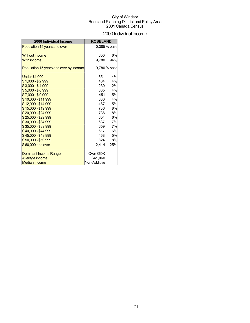### 2000 Individual Income

| 2000 Individual Income                 | <b>ROSELAND</b> |               |
|----------------------------------------|-----------------|---------------|
| Population 15 years and over           |                 | 10,385 % base |
|                                        |                 |               |
| <b>Without income</b>                  | 600             | 6%            |
| <b>With income</b>                     | 9,780           | 94%           |
| Population 15 years and over by Income |                 | 9,780 % base  |
| <b>Under \$1,000</b>                   | 351             | 4%            |
| $$1,000 - $2,999$                      | 404             | 4%            |
| $$3,000 - $4,999$                      | 230             | 2%            |
| $$5,000 - $6,999$                      | 385             | 4%            |
| $$7,000 - $9,999$                      | 451             | 5%            |
| $$10,000 - $11,999$                    | 380             | 4%            |
| $$12,000 - $14,999$                    | 487             | <b>5%</b>     |
| \$15,000 - \$19,999                    | 736             | 8%            |
| $$20.000 - $24.999$                    | 738             | 8%            |
| \$25,000 - \$29,999                    | 604             | 6%            |
| $$30,000 - $34,999$                    | 637             | 7%            |
| \$35,000 - \$39,999                    | 659             | 7%            |
| $$40,000 - $44,999$                    | 617             | 6%            |
| $$45,000 - $49,999$                    | 468             | 5%            |
| \$50,000 - \$59,999                    | 824             | 8%            |
| \$60,000 and over                      | 2.414           | 25%           |
| Dominant Income Range                  | Over \$60K      |               |
| Average income                         | \$41.060        |               |
| <b>Median Income</b>                   | Non-Additive    |               |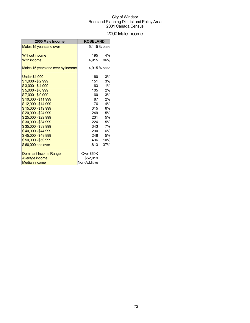### 2000 Male Income

| 2000 Male Income                  | <b>ROSELAND</b> |             |
|-----------------------------------|-----------------|-------------|
| Males 15 years and over           |                 | 5,115% base |
| <b>Without income</b>             | 195             | 4%          |
| <b>With income</b>                | 4,915           | 96%         |
| Males 15 years and over by Income |                 | 4,915% base |
| <b>Under \$1,000</b>              | 160             | 3%          |
| $$1,000 - $2,999$                 | 151             | 3%          |
| $$3,000 - $4,999$                 | 63              | 1%          |
| $$5,000 - $6,999$                 | 105             | 2%          |
| $$7,000 - $9,999$                 | 160             | 3%          |
| \$10,000 - \$11,999               | 87              | 2%          |
| $$12,000 - $14,999$               | 176             | 4%          |
| \$15,000 - \$19,999               | 315             | 6%          |
| \$20,000 - \$24,999               | 249             | 5%          |
| $$25,000 - $29,999$               | 231             | 5%          |
| \$30,000 - \$34,999               | 224             | 5%          |
| \$35,000 - \$39,999               | 343             | 7%          |
| $$40,000 - $44,999$               | 290             | 6%          |
| \$45,000 - \$49,999               | 248             | 5%          |
| \$50,000 - \$59,999               | 496             | 10%         |
| \$60,000 and over                 | 1,813           | 37%         |
| <b>Dominant Income Range</b>      | Over \$60K      |             |
| Average income                    | \$52,019        |             |
| <b>Median income</b>              | Non-Additive    |             |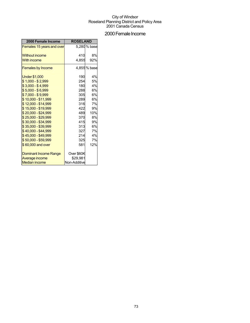### 2000 Female Income

| 2000 Female Income           | <b>ROSELAND</b> |              |
|------------------------------|-----------------|--------------|
| Females 15 years and over    |                 | 5,280 % base |
| <b>Without income</b>        | 410             | 8%           |
|                              |                 |              |
| <b>With income</b>           | 4.855           | 92%          |
| <b>Females by Income</b>     |                 | 4.855 % base |
| <b>Under \$1,000</b>         | 190             | 4%           |
| $$1,000 - $2,999$            | 254             | 5%           |
| $$3,000 - $4,999$            | 180             | 4%           |
| $$5,000 - $6,999$            | 288             | 6%           |
| $$7,000 - $9,999$            | 305             | 6%           |
| \$10,000 - \$11,999          | 289             | 6%           |
| \$12,000 - \$14,999          | 316             | 7%           |
| \$15,000 - \$19,999          | 422             | 9%           |
| \$20,000 - \$24,999          | 489             | 10%          |
| $$25,000 - $29,999$          | 370             | 8%           |
| \$30,000 - \$34,999          | 415             | 9%           |
| \$35,000 - \$39,999          | 313             | 6%           |
| \$40,000 - \$44,999          | 327             | 7%           |
| \$45,000 - \$49,999          | 214             | 4%           |
| \$50,000 - \$59,999          | 325             | 7%           |
| \$60,000 and over            | 581             | 12%          |
| <b>Dominant Income Range</b> | Over \$60K      |              |
| Average income               | \$29,981        |              |
| <b>Median income</b>         | Non-Additive    |              |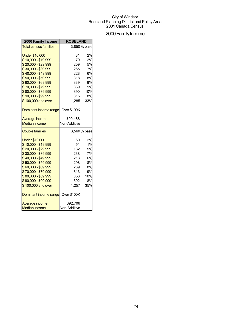# 2000 Family Income

| 2000 Family Income           | <b>ROSELAND</b>    |              |
|------------------------------|--------------------|--------------|
| <b>Total census families</b> |                    | 3.850 % base |
|                              |                    |              |
| <b>Under \$10,000</b>        | 81                 | 2%           |
| \$10,000 - \$19,999          | 79                 | 2%           |
| \$20,000 - \$29,999          | 209                | 5%           |
| \$30,000 - \$39,999          | 265                | 7%           |
| \$40,000 - \$49,999          | 228                | 6%           |
| \$50,000 - \$59,999          | 318                | 8%           |
| \$60,000 - \$69,999          | 339                | 9%           |
| \$70,000 - \$79,999          | 339                | 9%           |
| \$80,000 - \$89,999          | 390                | 10%          |
| \$90,000 - \$99,999          | 315                | 8%           |
| \$100,000 and over           | 1,285              | 33%          |
| Dominant income range        | <b>Over \$100K</b> |              |
| Average income               | \$90,488           |              |
| <b>Median income</b>         | Non-Additive       |              |
| <b>Couple families</b>       |                    | 3,560 % base |
| <b>Under \$10,000</b>        | 60                 | 2%           |
| \$10,000 - \$19,999          | 51                 | 1%           |
| \$20,000 - \$29,999          | 182                | 5%           |
| \$30,000 - \$39,999          | 238                | 7%           |
| \$40,000 - \$49,999          | 213                | 6%           |
| \$50,000 - \$59,999          | 298                | 8%           |
| \$60,000 - \$69,999          | 289                | 8%           |
| \$70,000 - \$79,999          | 313                | 9%           |
| \$80,000 - \$89,999          | 353                | 10%          |
| \$90,000 - \$99,999          | 302                | 8%           |
| \$100,000 and over           | 1,257              | 35%          |
| Dominant income range        | Over \$100K        |              |
| Average income               | \$92,706           |              |
| <b>Median income</b>         | Non-Additive       |              |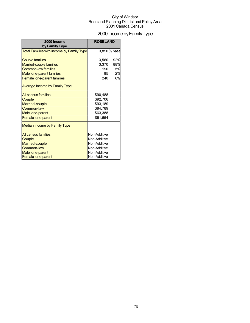# 2000 Income by Family Type

| 2000 Income<br>by Family Type             | <b>ROSELAND</b> |              |
|-------------------------------------------|-----------------|--------------|
| Total Families with income by Family Type |                 | 3,850 % base |
| <b>Couple families</b>                    | 3,560           | 92%          |
| <b>Married-couple families</b>            | 3,370           | 88%          |
| <b>Common-law families</b>                | 190             | 5%           |
| Male lone-parent families                 | 85              | 2%           |
| <b>Female lone-parent families</b>        | 240             | 6%           |
| <b>Average Income by Family Type</b>      |                 |              |
| All census families                       | \$90,488        |              |
| Couple                                    | \$92,706        |              |
| Married-couple                            | \$93,189        |              |
| Common-law                                | \$84,789        |              |
| Male lone-parent                          | \$63,388        |              |
| Female lone-parent                        | \$61,654        |              |
| <b>Median Income by Family Type</b>       |                 |              |
| All census families                       | Non-Additive    |              |
| Couple                                    | Non-Additive    |              |
| Married-couple                            | Non-Additive    |              |
| <b>Common-law</b>                         | Non-Additive    |              |
| Male lone-parent                          | Non-Additive    |              |
| Female lone-parent                        | Non-Additive    |              |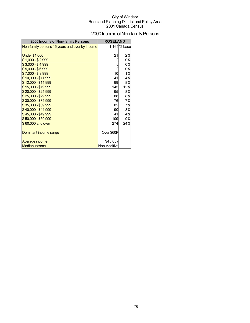# 2000 Income of Non-family Persons

| 2000 Income of Non-family Persons              | <b>ROSELAND</b> |              |
|------------------------------------------------|-----------------|--------------|
| Non-family persons 15 years and over by Income |                 | 1,165 % base |
|                                                |                 |              |
| <b>Under \$1,000</b>                           | 21              | 2%           |
| $$1,000 - $2,999$                              |                 | 0%           |
| $$3,000 - $4,999$                              |                 | 0%           |
| $$5,000 - $6,999$                              |                 | 0%           |
| $$7,000 - $9,999$                              | 10              | 1%           |
| $$10,000 - $11,999$                            | 41              | 4%           |
| \$12,000 - \$14,999                            | 99              | 8%           |
| $$15,000 - $19,999$                            | 145             | 12%          |
| \$20,000 - \$24,999                            | 95              | 8%           |
| \$25,000 - \$29,999                            | 88              | 8%           |
| \$30,000 - \$34,999                            | 76              | 7%           |
| \$35,000 - \$39,999                            | 82              | 7%           |
| $$40,000 - $44,999$                            | 90              | 8%           |
| \$45,000 - \$49,999                            | 41              | 4%           |
| \$50,000 - \$59,999                            | 109             | 9%           |
| \$60,000 and over                              | 274             | 24%          |
|                                                |                 |              |
| Dominant income range                          | Over \$60K      |              |
|                                                |                 |              |
| Average income                                 | \$45,087        |              |
| <b>Median income</b>                           | Non-Additive    |              |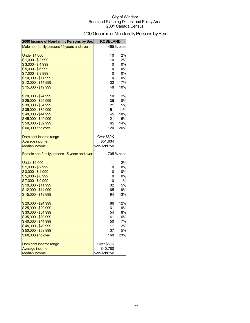# 2000 Income of Non-family Persons by Sex

| 2000 Income of Non-family Persons by Sex    | <b>ROSELAND</b>                      |            |
|---------------------------------------------|--------------------------------------|------------|
| Male non-family persons 15 years and over   |                                      | 465 % base |
|                                             |                                      |            |
| <b>Under \$1,000</b>                        | 10                                   | 2%         |
| $$1,000 - $2,999$                           | 10                                   | 2%         |
| $$3,000 - $4,999$                           | O                                    | 0%         |
| $$5,000 - $6,999$                           | $\mathbf 0$                          | 0%         |
| $$7,000 - $9,999$                           | $\begin{matrix} 0 \\ 0 \end{matrix}$ | 0%         |
| \$10,000 - \$11,999                         |                                      | 0%         |
| \$12,000 - \$14,999                         | 32                                   | 7%         |
| \$15,000 - \$19,999                         | 48                                   | 10%        |
| \$20,000 - \$24,999                         | 10                                   | 2%         |
| \$25,000 - \$29,999                         | 36                                   | 8%         |
| \$30,000 - \$34,999                         | 21                                   | 5%         |
| $$35,000 - $39,999$                         | 51                                   | 11%        |
| \$40,000 - \$44,999                         | 45                                   | 10%        |
| \$45,000 - \$49,999                         | 21                                   | 5%         |
| $$50,000 - $59,999$                         | 65                                   | 14%        |
| \$60,000 and over                           | 120                                  | 26%        |
| Dominant income range                       | Over \$60K                           |            |
| Average income                              | \$51,634                             |            |
| <b>Median income</b>                        | Non-Additive                         |            |
| Female non-family persons 15 years and over |                                      | 705 % base |
| <b>Under \$1,000</b>                        | 11                                   | 2%         |
| $$1,000 - $2,999$                           | C                                    | 0%         |
| $$3,000 - $4,999$                           | C                                    | 0%         |
| $$5,000 - $6,999$                           | $\mathbf C$                          | 0%         |
| $$7,000 - $9,999$                           | 10                                   | 1%         |
| \$10,000 - \$11,999                         | 32                                   | 5%         |
| \$12,000 - \$14,999                         | 65                                   | 9%         |
| \$15,000 - \$19,999                         | 94                                   | 13%        |
| \$20,000 - \$24,999                         | 86                                   | 12%        |
| $$25,000 - $29,999$                         | 61                                   | 9%         |
| $$30,000 - $34,999$                         | 54                                   | 8%         |
| \$35,000 - \$39,999                         | 41                                   | 6%         |
| \$40,000 - \$44,999                         | 50                                   | 7%         |
| $$45,000 - $49,999$                         | 11                                   | 2%         |
| \$50,000 - \$59,999                         | 37                                   | 5%         |
| \$60,000 and over                           | 160                                  | 23%        |
| Dominant income range                       | Over \$60K                           |            |
| Average income                              | \$40,780                             |            |
| <b>Median income</b>                        | Non-Additive                         |            |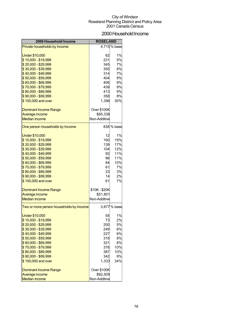### 2000 Household Income

| 2000 Household Income                          | <b>ROSELAND</b>                |             |
|------------------------------------------------|--------------------------------|-------------|
| Private households by Income                   |                                | 4,715% base |
|                                                |                                |             |
| Under \$10,000                                 | 62                             | 1%          |
| \$10,000 - \$19,999                            | 231                            | 5%          |
| \$20,000 - \$29,999                            | 345                            | 7%          |
| \$30,000 - \$39,999                            | 355                            | 8%          |
| \$40,000 - \$49,999                            | 314                            | 7%          |
| \$50,000 - \$59,999                            | 404                            | 9%          |
| \$60,000 - \$69,999                            | 406                            | 9%          |
| \$70,000 - \$79,999                            | 439                            | 9%          |
| \$80,000 - \$89,999                            | 413                            | 9%          |
| \$90,000 - \$99,999                            | 358                            | 8%          |
| \$100,000 and over                             | 1,396                          | 30%         |
|                                                |                                |             |
| <b>Dominant Income Range</b><br>Average income | <b>Over \$100K</b><br>\$85,336 |             |
| <b>Median income</b>                           | Non-Additive                   |             |
|                                                |                                |             |
| One person households by Income                |                                | 838 % base  |
| <b>Under \$10,000</b>                          | 12                             | 1%          |
| \$10,000 - \$19,999                            | 160                            | 19%         |
| \$20,000 - \$29,999                            | 139                            | 17%         |
| \$30,000 - \$39,999                            | 104                            | 12%         |
| \$40,000 - \$49,999                            | 92                             | 11%         |
| \$50,000 - \$59,999                            | 96                             | 11%         |
| \$60,000 - \$69,999                            | 84                             | 10%         |
| \$70,000 - \$79,999                            | 61                             | 7%          |
| \$80,000 - \$89,999                            | 23                             | 3%          |
| \$90,000 - \$99,999                            | 14                             | 2%          |
| \$100,000 and over                             | 61                             | 7%          |
| <b>Dominant Income Range</b>                   | \$10K-\$20K                    |             |
| Average income                                 | \$51,801                       |             |
| <b>Median income</b>                           | Non-Additive                   |             |
| Two or more person households by Income        |                                | 3,877% base |
|                                                |                                |             |
| Under \$10,000                                 | 55                             | 1%          |
| $$10,000 - $19,999$                            | 73                             | 2%          |
| \$20,000 - \$29,999                            | 200                            | 5%          |
| \$30,000 - \$39,999                            | 249                            | 6%          |
| \$40,000 - \$49,999                            | 227                            | 6%          |
| \$50,000 - \$59,999                            | 316                            | 8%          |
| \$60,000 - \$69,999                            | 321                            | 8%          |
| \$70,000 - \$79,999<br>\$80,000 - \$89,999     | 376<br>387                     | 10%<br>10%  |
| \$90,000 - \$99,999                            | 342                            | 9%          |
| \$100,000 and over                             |                                | 34%         |
|                                                | 1,333                          |             |
| <b>Dominant Income Range</b>                   | Over \$100K                    |             |
| Average income                                 | \$92,509                       |             |
| <b>Median income</b>                           | Non-Additive                   |             |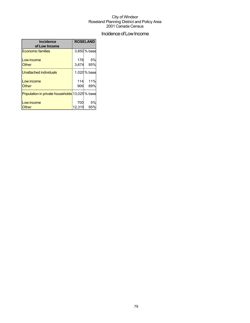# Incidence of Low Income

| <b>Incidence</b>                               |        | <b>ROSELAND</b> |
|------------------------------------------------|--------|-----------------|
| of Low Income                                  |        |                 |
| <b>Economic families</b>                       |        | 3,850 % base    |
| Low income                                     | 176    | 5%              |
| <b>Other</b>                                   | 3,674  | 95%             |
| Unattached individuals                         |        | 1,020 % base    |
| Low income                                     | 114    | 11%             |
| <b>Other</b>                                   | 906    | 89%             |
| Population in private households 13,025 % base |        |                 |
| Low income                                     | 700    | 5%              |
| Other                                          | 12.315 | 95%             |